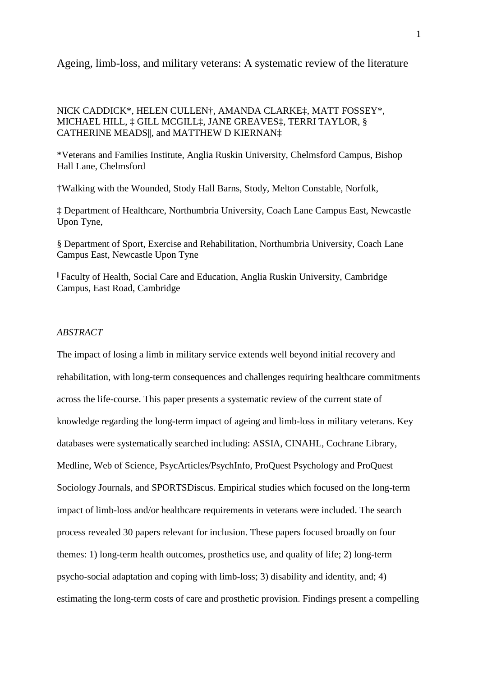# Ageing, limb-loss, and military veterans: A systematic review of the literature

# NICK CADDICK\*, HELEN CULLEN†, AMANDA CLARKE‡, MATT FOSSEY\*, MICHAEL HILL, ‡ GILL MCGILL‡, JANE GREAVES‡, TERRI TAYLOR, § CATHERINE MEADS||, and MATTHEW D KIERNAN‡

\*Veterans and Families Institute, Anglia Ruskin University, Chelmsford Campus, Bishop Hall Lane, Chelmsford

†Walking with the Wounded, Stody Hall Barns, Stody, Melton Constable, Norfolk,

‡ Department of Healthcare, Northumbria University, Coach Lane Campus East, Newcastle Upon Tyne,

§ Department of Sport, Exercise and Rehabilitation, Northumbria University, Coach Lane Campus East, Newcastle Upon Tyne

|| Faculty of Health, Social Care and Education, Anglia Ruskin University, Cambridge Campus, East Road, Cambridge

# *ABSTRACT*

The impact of losing a limb in military service extends well beyond initial recovery and rehabilitation, with long-term consequences and challenges requiring healthcare commitments across the life-course. This paper presents a systematic review of the current state of knowledge regarding the long-term impact of ageing and limb-loss in military veterans. Key databases were systematically searched including: ASSIA, CINAHL, Cochrane Library, Medline, Web of Science, PsycArticles/PsychInfo, ProQuest Psychology and ProQuest Sociology Journals, and SPORTSDiscus. Empirical studies which focused on the long-term impact of limb-loss and/or healthcare requirements in veterans were included. The search process revealed 30 papers relevant for inclusion. These papers focused broadly on four themes: 1) long-term health outcomes, prosthetics use, and quality of life; 2) long-term psycho-social adaptation and coping with limb-loss; 3) disability and identity, and; 4) estimating the long-term costs of care and prosthetic provision. Findings present a compelling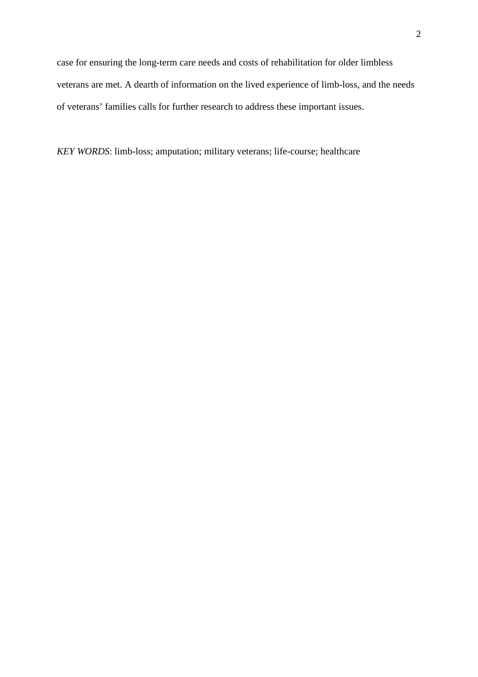case for ensuring the long-term care needs and costs of rehabilitation for older limbless veterans are met. A dearth of information on the lived experience of limb-loss, and the needs of veterans' families calls for further research to address these important issues.

*KEY WORDS*: limb-loss; amputation; military veterans; life-course; healthcare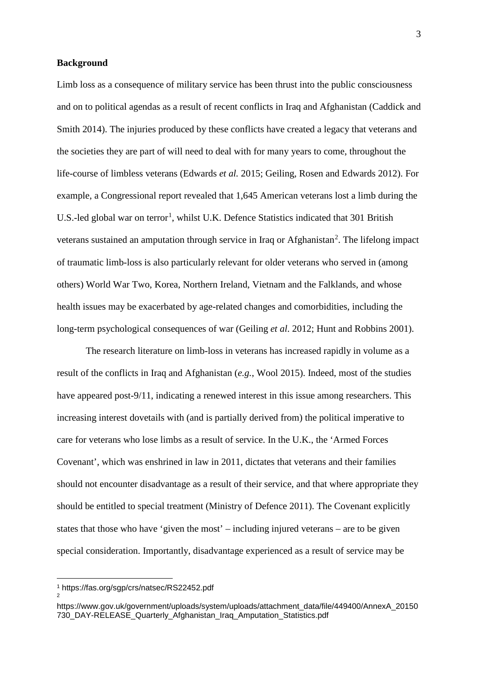### **Background**

Limb loss as a consequence of military service has been thrust into the public consciousness and on to political agendas as a result of recent conflicts in Iraq and Afghanistan (Caddick and Smith 2014). The injuries produced by these conflicts have created a legacy that veterans and the societies they are part of will need to deal with for many years to come, throughout the life-course of limbless veterans (Edwards *et al.* 2015; Geiling, Rosen and Edwards 2012). For example, a Congressional report revealed that 1,645 American veterans lost a limb during the U.S.-led global war on terror<sup>[1](#page-2-0)</sup>, whilst U.K. Defence Statistics indicated that 301 British veterans sustained an amputation through service in Iraq or Afghanistan<sup>[2](#page-2-1)</sup>. The lifelong impact of traumatic limb-loss is also particularly relevant for older veterans who served in (among others) World War Two, Korea, Northern Ireland, Vietnam and the Falklands, and whose health issues may be exacerbated by age-related changes and comorbidities, including the long-term psychological consequences of war (Geiling *et al*. 2012; Hunt and Robbins 2001).

The research literature on limb-loss in veterans has increased rapidly in volume as a result of the conflicts in Iraq and Afghanistan (*e.g.*, Wool 2015). Indeed, most of the studies have appeared post-9/11, indicating a renewed interest in this issue among researchers. This increasing interest dovetails with (and is partially derived from) the political imperative to care for veterans who lose limbs as a result of service. In the U.K., the 'Armed Forces Covenant', which was enshrined in law in 2011, dictates that veterans and their families should not encounter disadvantage as a result of their service, and that where appropriate they should be entitled to special treatment (Ministry of Defence 2011). The Covenant explicitly states that those who have 'given the most' – including injured veterans – are to be given special consideration. Importantly, disadvantage experienced as a result of service may be

<span id="page-2-1"></span><span id="page-2-0"></span>2

 $\overline{a}$ 

<sup>1</sup> <https://fas.org/sgp/crs/natsec/RS22452.pdf>

[https://www.gov.uk/government/uploads/system/uploads/attachment\\_data/file/449400/AnnexA\\_20150](https://www.gov.uk/government/uploads/system/uploads/attachment_data/file/449400/AnnexA_20150730_DAY-RELEASE_Quarterly_Afghanistan_Iraq_Amputation_Statistics.pdf) [730\\_DAY-RELEASE\\_Quarterly\\_Afghanistan\\_Iraq\\_Amputation\\_Statistics.pdf](https://www.gov.uk/government/uploads/system/uploads/attachment_data/file/449400/AnnexA_20150730_DAY-RELEASE_Quarterly_Afghanistan_Iraq_Amputation_Statistics.pdf)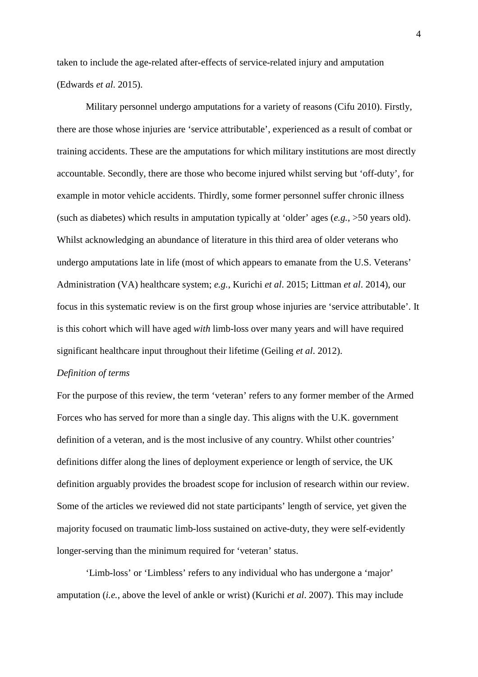taken to include the age-related after-effects of service-related injury and amputation (Edwards *et al*. 2015).

Military personnel undergo amputations for a variety of reasons (Cifu 2010). Firstly, there are those whose injuries are 'service attributable', experienced as a result of combat or training accidents. These are the amputations for which military institutions are most directly accountable. Secondly, there are those who become injured whilst serving but 'off-duty', for example in motor vehicle accidents. Thirdly, some former personnel suffer chronic illness (such as diabetes) which results in amputation typically at 'older' ages (*e.g.*, >50 years old). Whilst acknowledging an abundance of literature in this third area of older veterans who undergo amputations late in life (most of which appears to emanate from the U.S. Veterans' Administration (VA) healthcare system; *e.g.*, Kurichi *et al*. 2015; Littman *et al*. 2014), our focus in this systematic review is on the first group whose injuries are 'service attributable'. It is this cohort which will have aged *with* limb-loss over many years and will have required significant healthcare input throughout their lifetime (Geiling *et al*. 2012).

#### *Definition of terms*

For the purpose of this review, the term 'veteran' refers to any former member of the Armed Forces who has served for more than a single day. This aligns with the U.K. government definition of a veteran, and is the most inclusive of any country. Whilst other countries' definitions differ along the lines of deployment experience or length of service, the UK definition arguably provides the broadest scope for inclusion of research within our review. Some of the articles we reviewed did not state participants' length of service, yet given the majority focused on traumatic limb-loss sustained on active-duty, they were self-evidently longer-serving than the minimum required for 'veteran' status.

'Limb-loss' or 'Limbless' refers to any individual who has undergone a 'major' amputation (*i.e.*, above the level of ankle or wrist) (Kurichi *et al*. 2007). This may include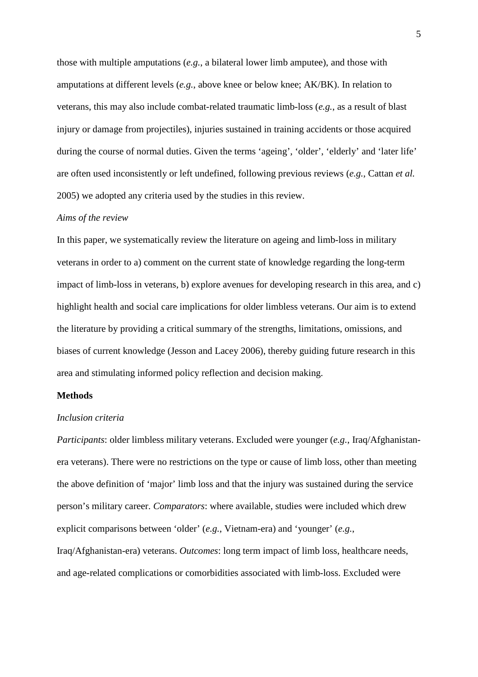those with multiple amputations (*e.g.*, a bilateral lower limb amputee), and those with amputations at different levels (*e.g.*, above knee or below knee; AK/BK). In relation to veterans, this may also include combat-related traumatic limb-loss (*e.g.*, as a result of blast injury or damage from projectiles), injuries sustained in training accidents or those acquired during the course of normal duties. Given the terms 'ageing', 'older', 'elderly' and 'later life' are often used inconsistently or left undefined, following previous reviews (*e.g.*, Cattan *et al.* 2005) we adopted any criteria used by the studies in this review.

#### *Aims of the review*

In this paper, we systematically review the literature on ageing and limb-loss in military veterans in order to a) comment on the current state of knowledge regarding the long-term impact of limb-loss in veterans, b) explore avenues for developing research in this area, and c) highlight health and social care implications for older limbless veterans. Our aim is to extend the literature by providing a critical summary of the strengths, limitations, omissions, and biases of current knowledge (Jesson and Lacey 2006), thereby guiding future research in this area and stimulating informed policy reflection and decision making.

#### **Methods**

#### *Inclusion criteria*

*Participants*: older limbless military veterans. Excluded were younger (*e.g.*, Iraq/Afghanistanera veterans). There were no restrictions on the type or cause of limb loss, other than meeting the above definition of 'major' limb loss and that the injury was sustained during the service person's military career. *Comparators*: where available, studies were included which drew explicit comparisons between 'older' (*e.g.*, Vietnam-era) and 'younger' (*e.g.*, Iraq/Afghanistan-era) veterans. *Outcomes*: long term impact of limb loss, healthcare needs, and age-related complications or comorbidities associated with limb-loss. Excluded were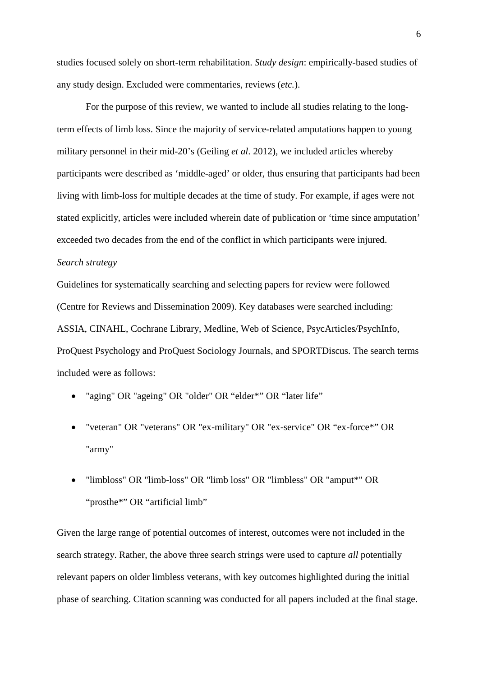studies focused solely on short-term rehabilitation. *Study design*: empirically-based studies of any study design. Excluded were commentaries, reviews (*etc.*).

For the purpose of this review, we wanted to include all studies relating to the longterm effects of limb loss. Since the majority of service-related amputations happen to young military personnel in their mid-20's (Geiling *et al*. 2012), we included articles whereby participants were described as 'middle-aged' or older, thus ensuring that participants had been living with limb-loss for multiple decades at the time of study. For example, if ages were not stated explicitly, articles were included wherein date of publication or 'time since amputation' exceeded two decades from the end of the conflict in which participants were injured.

### *Search strategy*

Guidelines for systematically searching and selecting papers for review were followed (Centre for Reviews and Dissemination 2009). Key databases were searched including: ASSIA, CINAHL, Cochrane Library, Medline, Web of Science, PsycArticles/PsychInfo, ProQuest Psychology and ProQuest Sociology Journals, and SPORTDiscus. The search terms included were as follows:

- "aging" OR "ageing" OR "older" OR "elder\*" OR "later life"
- "veteran" OR "veterans" OR "ex-military" OR "ex-service" OR "ex-force\*" OR "army"
- "limbloss" OR "limb-loss" OR "limb loss" OR "limbless" OR "amput\*" OR "prosthe\*" OR "artificial limb"

Given the large range of potential outcomes of interest, outcomes were not included in the search strategy. Rather, the above three search strings were used to capture *all* potentially relevant papers on older limbless veterans, with key outcomes highlighted during the initial phase of searching. Citation scanning was conducted for all papers included at the final stage.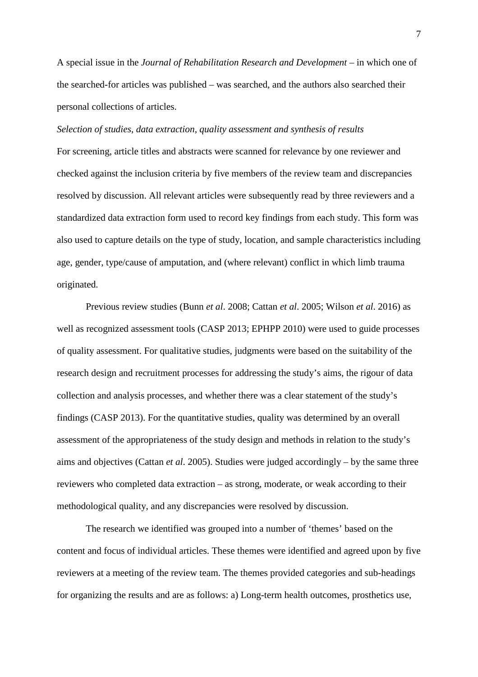A special issue in the *Journal of Rehabilitation Research and Development* – in which one of the searched-for articles was published – was searched, and the authors also searched their personal collections of articles.

### *Selection of studies, data extraction, quality assessment and synthesis of results*

For screening, article titles and abstracts were scanned for relevance by one reviewer and checked against the inclusion criteria by five members of the review team and discrepancies resolved by discussion. All relevant articles were subsequently read by three reviewers and a standardized data extraction form used to record key findings from each study. This form was also used to capture details on the type of study, location, and sample characteristics including age, gender, type/cause of amputation, and (where relevant) conflict in which limb trauma originated.

Previous review studies (Bunn *et al*. 2008; Cattan *et al*. 2005; Wilson *et al*. 2016) as well as recognized assessment tools (CASP 2013; EPHPP 2010) were used to guide processes of quality assessment. For qualitative studies, judgments were based on the suitability of the research design and recruitment processes for addressing the study's aims, the rigour of data collection and analysis processes, and whether there was a clear statement of the study's findings (CASP 2013). For the quantitative studies, quality was determined by an overall assessment of the appropriateness of the study design and methods in relation to the study's aims and objectives (Cattan *et al*. 2005). Studies were judged accordingly – by the same three reviewers who completed data extraction – as strong, moderate, or weak according to their methodological quality, and any discrepancies were resolved by discussion.

The research we identified was grouped into a number of 'themes' based on the content and focus of individual articles. These themes were identified and agreed upon by five reviewers at a meeting of the review team. The themes provided categories and sub-headings for organizing the results and are as follows: a) Long-term health outcomes, prosthetics use,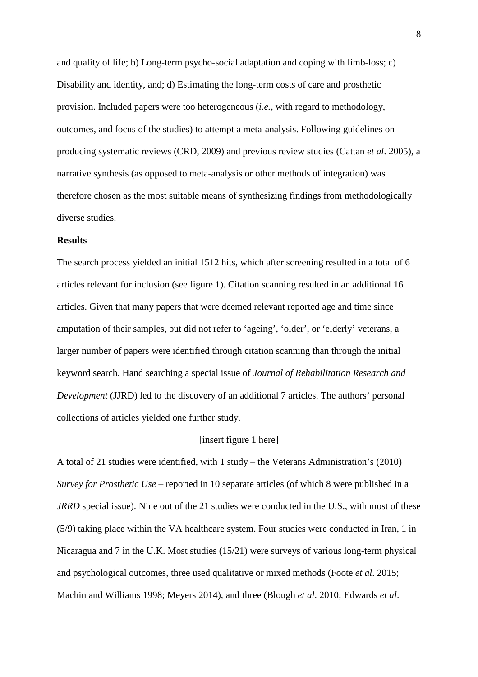and quality of life; b) Long-term psycho-social adaptation and coping with limb-loss; c) Disability and identity, and; d) Estimating the long-term costs of care and prosthetic provision. Included papers were too heterogeneous (*i.e.*, with regard to methodology, outcomes, and focus of the studies) to attempt a meta-analysis. Following guidelines on producing systematic reviews (CRD, 2009) and previous review studies (Cattan *et al*. 2005), a narrative synthesis (as opposed to meta-analysis or other methods of integration) was therefore chosen as the most suitable means of synthesizing findings from methodologically diverse studies.

### **Results**

The search process yielded an initial 1512 hits, which after screening resulted in a total of 6 articles relevant for inclusion (see figure 1). Citation scanning resulted in an additional 16 articles. Given that many papers that were deemed relevant reported age and time since amputation of their samples, but did not refer to 'ageing', 'older', or 'elderly' veterans, a larger number of papers were identified through citation scanning than through the initial keyword search. Hand searching a special issue of *Journal of Rehabilitation Research and Development* (JJRD) led to the discovery of an additional 7 articles. The authors' personal collections of articles yielded one further study.

#### [insert figure 1 here]

A total of 21 studies were identified, with 1 study – the Veterans Administration's (2010) *Survey for Prosthetic Use* – reported in 10 separate articles (of which 8 were published in a *JRRD* special issue). Nine out of the 21 studies were conducted in the U.S., with most of these (5/9) taking place within the VA healthcare system. Four studies were conducted in Iran, 1 in Nicaragua and 7 in the U.K. Most studies (15/21) were surveys of various long-term physical and psychological outcomes, three used qualitative or mixed methods (Foote *et al*. 2015; Machin and Williams 1998; Meyers 2014), and three (Blough *et al*. 2010; Edwards *et al*.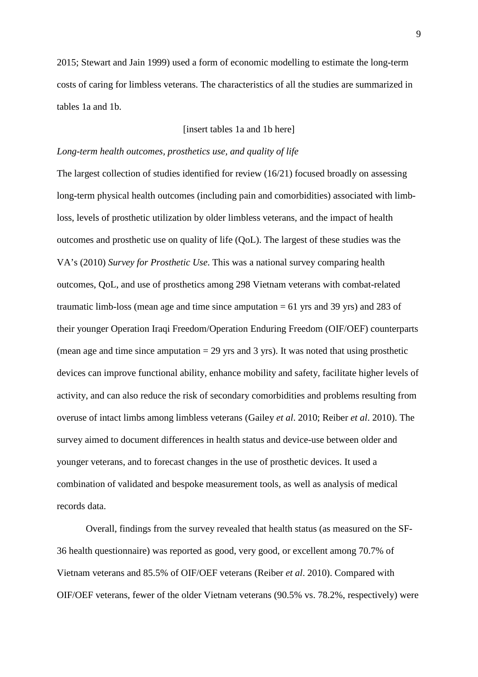2015; Stewart and Jain 1999) used a form of economic modelling to estimate the long-term costs of caring for limbless veterans. The characteristics of all the studies are summarized in tables 1a and 1b.

# [insert tables 1a and 1b here]

### *Long-term health outcomes, prosthetics use, and quality of life*

The largest collection of studies identified for review (16/21) focused broadly on assessing long-term physical health outcomes (including pain and comorbidities) associated with limbloss, levels of prosthetic utilization by older limbless veterans, and the impact of health outcomes and prosthetic use on quality of life (QoL). The largest of these studies was the VA's (2010) *Survey for Prosthetic Use*. This was a national survey comparing health outcomes, QoL, and use of prosthetics among 298 Vietnam veterans with combat-related traumatic limb-loss (mean age and time since amputation  $= 61$  yrs and 39 yrs) and 283 of their younger Operation Iraqi Freedom/Operation Enduring Freedom (OIF/OEF) counterparts (mean age and time since amputation  $= 29$  yrs and 3 yrs). It was noted that using prosthetic devices can improve functional ability, enhance mobility and safety, facilitate higher levels of activity, and can also reduce the risk of secondary comorbidities and problems resulting from overuse of intact limbs among limbless veterans (Gailey *et al*. 2010; Reiber *et al*. 2010). The survey aimed to document differences in health status and device-use between older and younger veterans, and to forecast changes in the use of prosthetic devices. It used a combination of validated and bespoke measurement tools, as well as analysis of medical records data.

Overall, findings from the survey revealed that health status (as measured on the SF-36 health questionnaire) was reported as good, very good, or excellent among 70.7% of Vietnam veterans and 85.5% of OIF/OEF veterans (Reiber *et al*. 2010). Compared with OIF/OEF veterans, fewer of the older Vietnam veterans (90.5% vs. 78.2%, respectively) were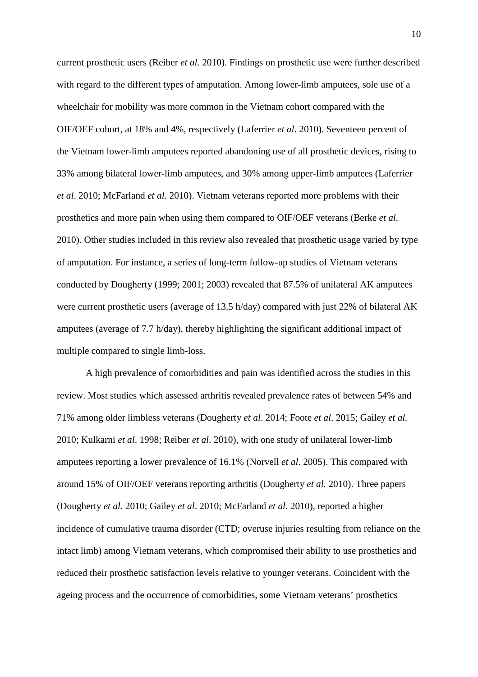current prosthetic users (Reiber *et al*. 2010). Findings on prosthetic use were further described with regard to the different types of amputation. Among lower-limb amputees, sole use of a wheelchair for mobility was more common in the Vietnam cohort compared with the OIF/OEF cohort, at 18% and 4%, respectively (Laferrier *et al*. 2010). Seventeen percent of the Vietnam lower-limb amputees reported abandoning use of all prosthetic devices, rising to 33% among bilateral lower-limb amputees, and 30% among upper-limb amputees (Laferrier *et al*. 2010; McFarland *et al*. 2010). Vietnam veterans reported more problems with their prosthetics and more pain when using them compared to OIF/OEF veterans (Berke *et al*. 2010). Other studies included in this review also revealed that prosthetic usage varied by type of amputation. For instance, a series of long-term follow-up studies of Vietnam veterans conducted by Dougherty (1999; 2001; 2003) revealed that 87.5% of unilateral AK amputees were current prosthetic users (average of 13.5 h/day) compared with just 22% of bilateral AK amputees (average of 7.7 h/day), thereby highlighting the significant additional impact of multiple compared to single limb-loss.

A high prevalence of comorbidities and pain was identified across the studies in this review. Most studies which assessed arthritis revealed prevalence rates of between 54% and 71% among older limbless veterans (Dougherty *et al*. 2014; Foote *et al*. 2015; Gailey *et al.* 2010; Kulkarni *et al*. 1998; Reiber *et al*. 2010), with one study of unilateral lower-limb amputees reporting a lower prevalence of 16.1% (Norvell *et al*. 2005). This compared with around 15% of OIF/OEF veterans reporting arthritis (Dougherty *et al.* 2010). Three papers (Dougherty *et al*. 2010; Gailey *et al*. 2010; McFarland *et al*. 2010), reported a higher incidence of cumulative trauma disorder (CTD; overuse injuries resulting from reliance on the intact limb) among Vietnam veterans, which compromised their ability to use prosthetics and reduced their prosthetic satisfaction levels relative to younger veterans. Coincident with the ageing process and the occurrence of comorbidities, some Vietnam veterans' prosthetics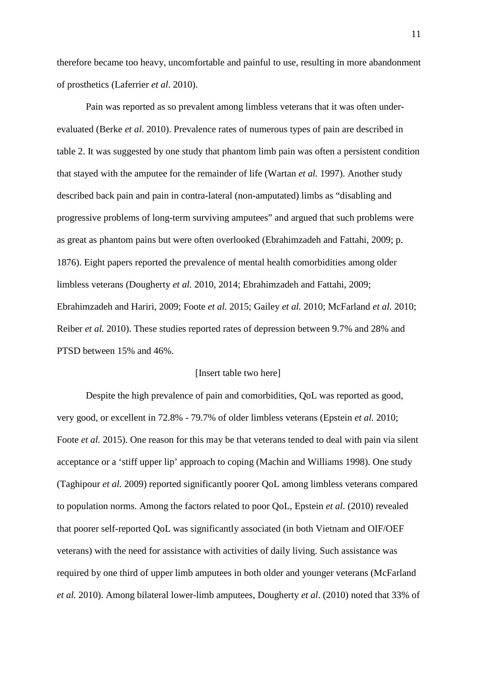therefore became too heavy, uncomfortable and painful to use, resulting in more abandonment of prosthetics (Laferrier *et al*. 2010).

Pain was reported as so prevalent among limbless veterans that it was often underevaluated (Berke *et al*. 2010). Prevalence rates of numerous types of pain are described in table 2. It was suggested by one study that phantom limb pain was often a persistent condition that stayed with the amputee for the remainder of life (Wartan *et al.* 1997). Another study described back pain and pain in contra-lateral (non-amputated) limbs as "disabling and progressive problems of long-term surviving amputees" and argued that such problems were as great as phantom pains but were often overlooked (Ebrahimzadeh and Fattahi, 2009; p. 1876). Eight papers reported the prevalence of mental health comorbidities among older limbless veterans (Dougherty *et al.* 2010, 2014; Ebrahimzadeh and Fattahi, 2009; Ebrahimzadeh and Hariri, 2009; Foote *et al.* 2015; Gailey *et al.* 2010; McFarland *et al.* 2010; Reiber *et al.* 2010). These studies reported rates of depression between 9.7% and 28% and PTSD between 15% and 46%.

### [Insert table two here]

Despite the high prevalence of pain and comorbidities, QoL was reported as good, very good, or excellent in 72.8% - 79.7% of older limbless veterans (Epstein *et al.* 2010; Foote *et al.* 2015). One reason for this may be that veterans tended to deal with pain via silent acceptance or a 'stiff upper lip' approach to coping (Machin and Williams 1998). One study (Taghipour *et al.* 2009) reported significantly poorer QoL among limbless veterans compared to population norms. Among the factors related to poor QoL, Epstein *et al*. (2010) revealed that poorer self-reported QoL was significantly associated (in both Vietnam and OIF/OEF veterans) with the need for assistance with activities of daily living. Such assistance was required by one third of upper limb amputees in both older and younger veterans (McFarland *et al.* 2010). Among bilateral lower-limb amputees, Dougherty *et al*. (2010) noted that 33% of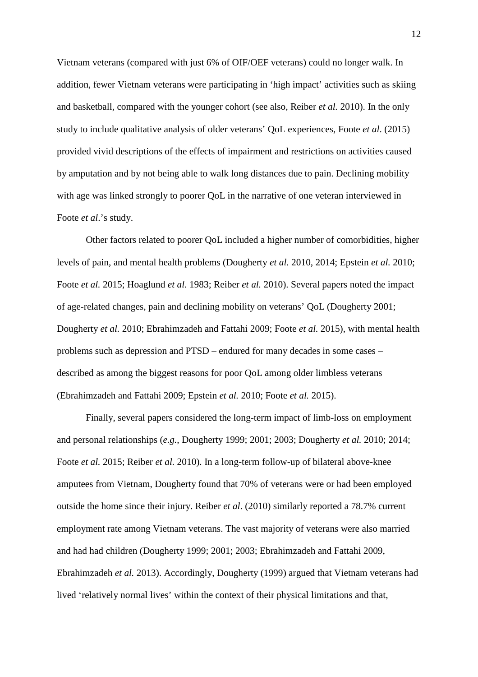Vietnam veterans (compared with just 6% of OIF/OEF veterans) could no longer walk. In addition, fewer Vietnam veterans were participating in 'high impact' activities such as skiing and basketball, compared with the younger cohort (see also, Reiber *et al.* 2010). In the only study to include qualitative analysis of older veterans' QoL experiences, Foote *et al*. (2015) provided vivid descriptions of the effects of impairment and restrictions on activities caused by amputation and by not being able to walk long distances due to pain. Declining mobility with age was linked strongly to poorer QoL in the narrative of one veteran interviewed in Foote *et al*.'s study.

Other factors related to poorer QoL included a higher number of comorbidities, higher levels of pain, and mental health problems (Dougherty *et al.* 2010, 2014; Epstein *et al.* 2010; Foote *et al.* 2015; Hoaglund *et al.* 1983; Reiber *et al.* 2010). Several papers noted the impact of age-related changes, pain and declining mobility on veterans' QoL (Dougherty 2001; Dougherty *et al.* 2010; Ebrahimzadeh and Fattahi 2009; Foote *et al.* 2015), with mental health problems such as depression and PTSD – endured for many decades in some cases – described as among the biggest reasons for poor QoL among older limbless veterans (Ebrahimzadeh and Fattahi 2009; Epstein *et al.* 2010; Foote *et al.* 2015).

Finally, several papers considered the long-term impact of limb-loss on employment and personal relationships (*e.g.*, Dougherty 1999; 2001; 2003; Dougherty *et al.* 2010; 2014; Foote *et al.* 2015; Reiber *et al.* 2010). In a long-term follow-up of bilateral above-knee amputees from Vietnam, Dougherty found that 70% of veterans were or had been employed outside the home since their injury. Reiber *et al*. (2010) similarly reported a 78.7% current employment rate among Vietnam veterans. The vast majority of veterans were also married and had had children (Dougherty 1999; 2001; 2003; Ebrahimzadeh and Fattahi 2009, Ebrahimzadeh *et al.* 2013). Accordingly, Dougherty (1999) argued that Vietnam veterans had lived 'relatively normal lives' within the context of their physical limitations and that,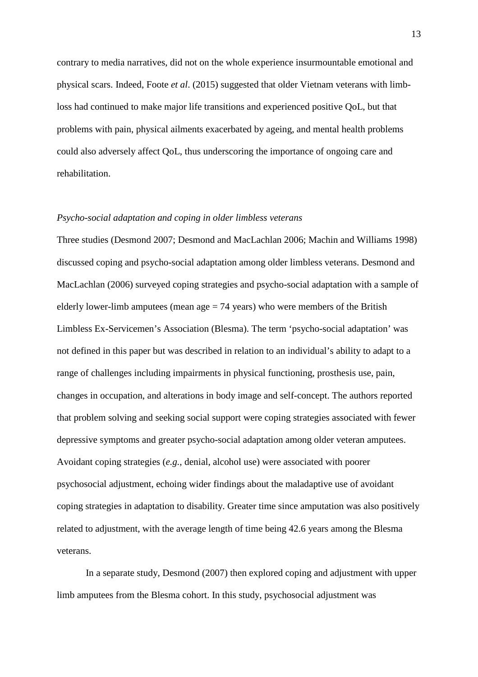contrary to media narratives, did not on the whole experience insurmountable emotional and physical scars. Indeed, Foote *et al*. (2015) suggested that older Vietnam veterans with limbloss had continued to make major life transitions and experienced positive QoL, but that problems with pain, physical ailments exacerbated by ageing, and mental health problems could also adversely affect QoL, thus underscoring the importance of ongoing care and rehabilitation.

# *Psycho-social adaptation and coping in older limbless veterans*

Three studies (Desmond 2007; Desmond and MacLachlan 2006; Machin and Williams 1998) discussed coping and psycho-social adaptation among older limbless veterans. Desmond and MacLachlan (2006) surveyed coping strategies and psycho-social adaptation with a sample of elderly lower-limb amputees (mean age  $= 74$  years) who were members of the British Limbless Ex-Servicemen's Association (Blesma). The term 'psycho-social adaptation' was not defined in this paper but was described in relation to an individual's ability to adapt to a range of challenges including impairments in physical functioning, prosthesis use, pain, changes in occupation, and alterations in body image and self-concept. The authors reported that problem solving and seeking social support were coping strategies associated with fewer depressive symptoms and greater psycho-social adaptation among older veteran amputees. Avoidant coping strategies (*e.g.*, denial, alcohol use) were associated with poorer psychosocial adjustment, echoing wider findings about the maladaptive use of avoidant coping strategies in adaptation to disability. Greater time since amputation was also positively related to adjustment, with the average length of time being 42.6 years among the Blesma veterans.

In a separate study, Desmond (2007) then explored coping and adjustment with upper limb amputees from the Blesma cohort. In this study, psychosocial adjustment was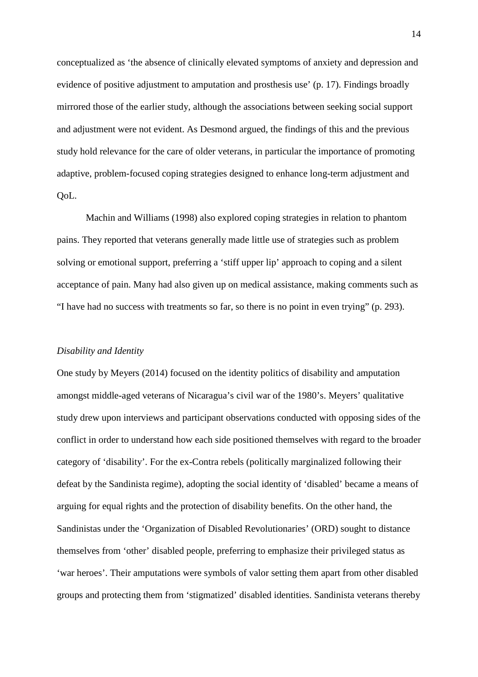conceptualized as 'the absence of clinically elevated symptoms of anxiety and depression and evidence of positive adjustment to amputation and prosthesis use' (p. 17). Findings broadly mirrored those of the earlier study, although the associations between seeking social support and adjustment were not evident. As Desmond argued, the findings of this and the previous study hold relevance for the care of older veterans, in particular the importance of promoting adaptive, problem-focused coping strategies designed to enhance long-term adjustment and QoL.

Machin and Williams (1998) also explored coping strategies in relation to phantom pains. They reported that veterans generally made little use of strategies such as problem solving or emotional support, preferring a 'stiff upper lip' approach to coping and a silent acceptance of pain. Many had also given up on medical assistance, making comments such as "I have had no success with treatments so far, so there is no point in even trying" (p. 293).

# *Disability and Identity*

One study by Meyers (2014) focused on the identity politics of disability and amputation amongst middle-aged veterans of Nicaragua's civil war of the 1980's. Meyers' qualitative study drew upon interviews and participant observations conducted with opposing sides of the conflict in order to understand how each side positioned themselves with regard to the broader category of 'disability'. For the ex-Contra rebels (politically marginalized following their defeat by the Sandinista regime), adopting the social identity of 'disabled' became a means of arguing for equal rights and the protection of disability benefits. On the other hand, the Sandinistas under the 'Organization of Disabled Revolutionaries' (ORD) sought to distance themselves from 'other' disabled people, preferring to emphasize their privileged status as 'war heroes'. Their amputations were symbols of valor setting them apart from other disabled groups and protecting them from 'stigmatized' disabled identities. Sandinista veterans thereby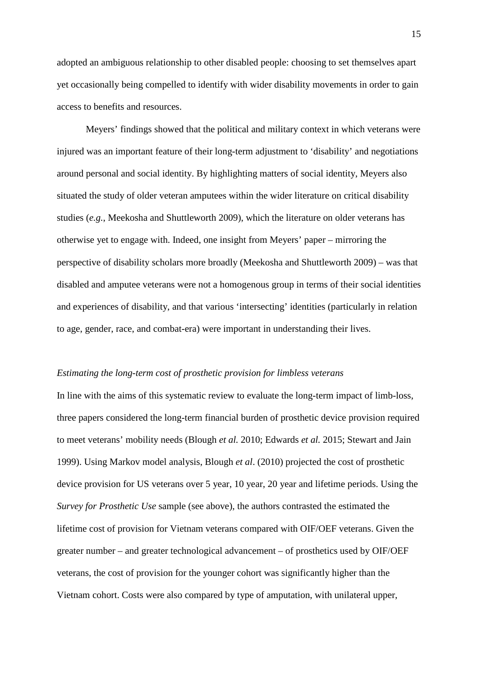adopted an ambiguous relationship to other disabled people: choosing to set themselves apart yet occasionally being compelled to identify with wider disability movements in order to gain access to benefits and resources.

Meyers' findings showed that the political and military context in which veterans were injured was an important feature of their long-term adjustment to 'disability' and negotiations around personal and social identity. By highlighting matters of social identity, Meyers also situated the study of older veteran amputees within the wider literature on critical disability studies (*e.g.*, Meekosha and Shuttleworth 2009), which the literature on older veterans has otherwise yet to engage with. Indeed, one insight from Meyers' paper – mirroring the perspective of disability scholars more broadly (Meekosha and Shuttleworth 2009) – was that disabled and amputee veterans were not a homogenous group in terms of their social identities and experiences of disability, and that various 'intersecting' identities (particularly in relation to age, gender, race, and combat-era) were important in understanding their lives.

### *Estimating the long-term cost of prosthetic provision for limbless veterans*

In line with the aims of this systematic review to evaluate the long-term impact of limb-loss, three papers considered the long-term financial burden of prosthetic device provision required to meet veterans' mobility needs (Blough *et al.* 2010; Edwards *et al.* 2015; Stewart and Jain 1999). Using Markov model analysis, Blough *et al*. (2010) projected the cost of prosthetic device provision for US veterans over 5 year, 10 year, 20 year and lifetime periods. Using the *Survey for Prosthetic Use* sample (see above), the authors contrasted the estimated the lifetime cost of provision for Vietnam veterans compared with OIF/OEF veterans. Given the greater number – and greater technological advancement – of prosthetics used by OIF/OEF veterans, the cost of provision for the younger cohort was significantly higher than the Vietnam cohort. Costs were also compared by type of amputation, with unilateral upper,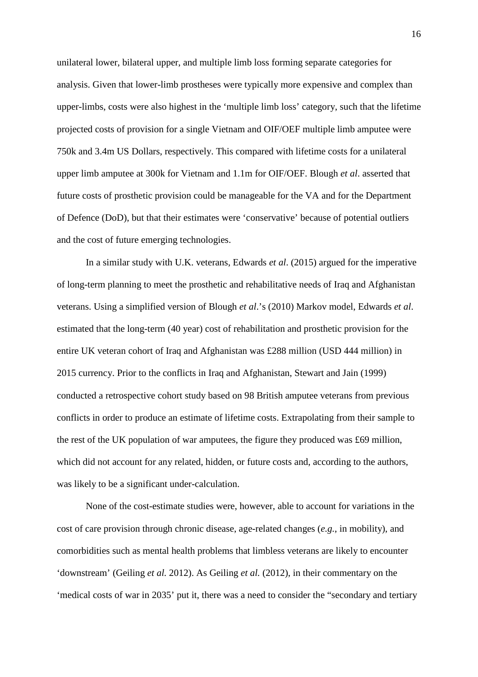unilateral lower, bilateral upper, and multiple limb loss forming separate categories for analysis. Given that lower-limb prostheses were typically more expensive and complex than upper-limbs, costs were also highest in the 'multiple limb loss' category, such that the lifetime projected costs of provision for a single Vietnam and OIF/OEF multiple limb amputee were 750k and 3.4m US Dollars, respectively. This compared with lifetime costs for a unilateral upper limb amputee at 300k for Vietnam and 1.1m for OIF/OEF. Blough *et al*. asserted that future costs of prosthetic provision could be manageable for the VA and for the Department of Defence (DoD), but that their estimates were 'conservative' because of potential outliers and the cost of future emerging technologies.

In a similar study with U.K. veterans, Edwards *et al*. (2015) argued for the imperative of long-term planning to meet the prosthetic and rehabilitative needs of Iraq and Afghanistan veterans. Using a simplified version of Blough *et al*.'s (2010) Markov model, Edwards *et al*. estimated that the long-term (40 year) cost of rehabilitation and prosthetic provision for the entire UK veteran cohort of Iraq and Afghanistan was £288 million (USD 444 million) in 2015 currency. Prior to the conflicts in Iraq and Afghanistan, Stewart and Jain (1999) conducted a retrospective cohort study based on 98 British amputee veterans from previous conflicts in order to produce an estimate of lifetime costs. Extrapolating from their sample to the rest of the UK population of war amputees, the figure they produced was £69 million, which did not account for any related, hidden, or future costs and, according to the authors, was likely to be a significant under-calculation.

None of the cost-estimate studies were, however, able to account for variations in the cost of care provision through chronic disease, age-related changes (*e.g.*, in mobility), and comorbidities such as mental health problems that limbless veterans are likely to encounter 'downstream' (Geiling *et al.* 2012). As Geiling *et al.* (2012), in their commentary on the 'medical costs of war in 2035' put it, there was a need to consider the "secondary and tertiary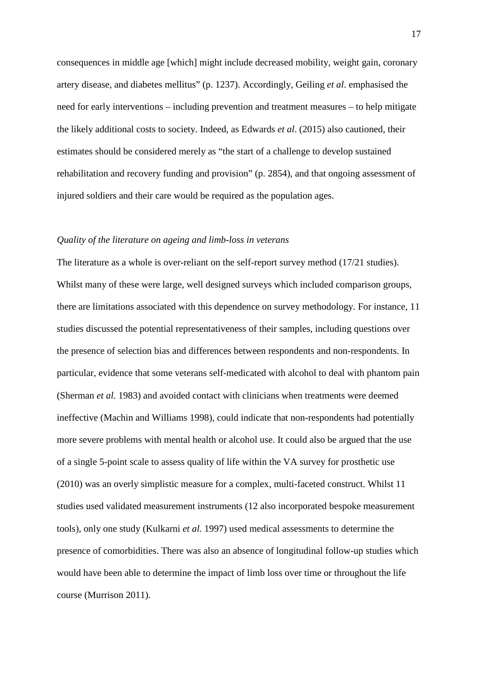consequences in middle age [which] might include decreased mobility, weight gain, coronary artery disease, and diabetes mellitus" (p. 1237). Accordingly, Geiling *et al*. emphasised the need for early interventions – including prevention and treatment measures – to help mitigate the likely additional costs to society. Indeed, as Edwards *et al*. (2015) also cautioned, their estimates should be considered merely as "the start of a challenge to develop sustained rehabilitation and recovery funding and provision" (p. 2854), and that ongoing assessment of injured soldiers and their care would be required as the population ages.

### *Quality of the literature on ageing and limb-loss in veterans*

The literature as a whole is over-reliant on the self-report survey method (17/21 studies). Whilst many of these were large, well designed surveys which included comparison groups, there are limitations associated with this dependence on survey methodology. For instance, 11 studies discussed the potential representativeness of their samples, including questions over the presence of selection bias and differences between respondents and non-respondents. In particular, evidence that some veterans self-medicated with alcohol to deal with phantom pain (Sherman *et al.* 1983) and avoided contact with clinicians when treatments were deemed ineffective (Machin and Williams 1998), could indicate that non-respondents had potentially more severe problems with mental health or alcohol use. It could also be argued that the use of a single 5-point scale to assess quality of life within the VA survey for prosthetic use (2010) was an overly simplistic measure for a complex, multi-faceted construct. Whilst 11 studies used validated measurement instruments (12 also incorporated bespoke measurement tools), only one study (Kulkarni *et al.* 1997) used medical assessments to determine the presence of comorbidities. There was also an absence of longitudinal follow-up studies which would have been able to determine the impact of limb loss over time or throughout the life course (Murrison 2011).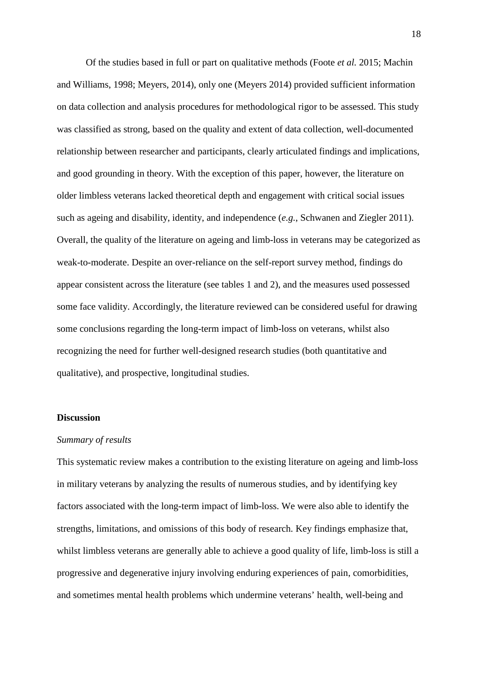Of the studies based in full or part on qualitative methods (Foote *et al.* 2015; Machin and Williams, 1998; Meyers, 2014), only one (Meyers 2014) provided sufficient information on data collection and analysis procedures for methodological rigor to be assessed. This study was classified as strong, based on the quality and extent of data collection, well-documented relationship between researcher and participants, clearly articulated findings and implications, and good grounding in theory. With the exception of this paper, however, the literature on older limbless veterans lacked theoretical depth and engagement with critical social issues such as ageing and disability, identity, and independence (*e.g.*, Schwanen and Ziegler 2011). Overall, the quality of the literature on ageing and limb-loss in veterans may be categorized as weak-to-moderate. Despite an over-reliance on the self-report survey method, findings do appear consistent across the literature (see tables 1 and 2), and the measures used possessed some face validity. Accordingly, the literature reviewed can be considered useful for drawing some conclusions regarding the long-term impact of limb-loss on veterans, whilst also recognizing the need for further well-designed research studies (both quantitative and qualitative), and prospective, longitudinal studies.

# **Discussion**

### *Summary of results*

This systematic review makes a contribution to the existing literature on ageing and limb-loss in military veterans by analyzing the results of numerous studies, and by identifying key factors associated with the long-term impact of limb-loss. We were also able to identify the strengths, limitations, and omissions of this body of research. Key findings emphasize that, whilst limbless veterans are generally able to achieve a good quality of life, limb-loss is still a progressive and degenerative injury involving enduring experiences of pain, comorbidities, and sometimes mental health problems which undermine veterans' health, well-being and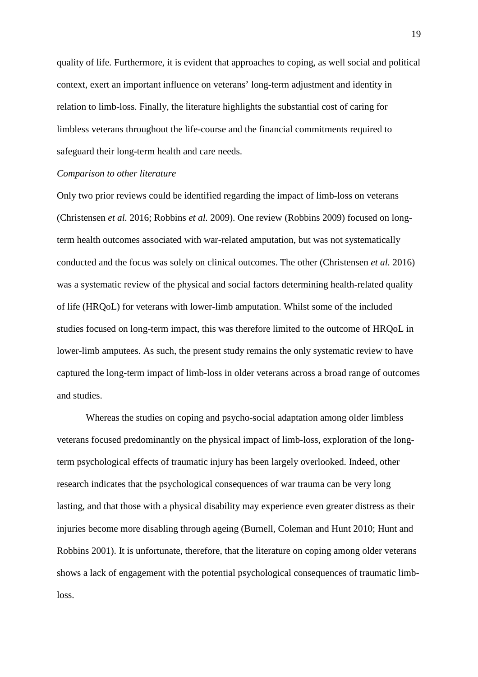quality of life. Furthermore, it is evident that approaches to coping, as well social and political context, exert an important influence on veterans' long-term adjustment and identity in relation to limb-loss. Finally, the literature highlights the substantial cost of caring for limbless veterans throughout the life-course and the financial commitments required to safeguard their long-term health and care needs.

#### *Comparison to other literature*

Only two prior reviews could be identified regarding the impact of limb-loss on veterans (Christensen *et al.* 2016; Robbins *et al.* 2009). One review (Robbins 2009) focused on longterm health outcomes associated with war-related amputation, but was not systematically conducted and the focus was solely on clinical outcomes. The other (Christensen *et al.* 2016) was a systematic review of the physical and social factors determining health-related quality of life (HRQoL) for veterans with lower-limb amputation. Whilst some of the included studies focused on long-term impact, this was therefore limited to the outcome of HRQoL in lower-limb amputees. As such, the present study remains the only systematic review to have captured the long-term impact of limb-loss in older veterans across a broad range of outcomes and studies.

Whereas the studies on coping and psycho-social adaptation among older limbless veterans focused predominantly on the physical impact of limb-loss, exploration of the longterm psychological effects of traumatic injury has been largely overlooked. Indeed, other research indicates that the psychological consequences of war trauma can be very long lasting, and that those with a physical disability may experience even greater distress as their injuries become more disabling through ageing (Burnell, Coleman and Hunt 2010; Hunt and Robbins 2001). It is unfortunate, therefore, that the literature on coping among older veterans shows a lack of engagement with the potential psychological consequences of traumatic limbloss.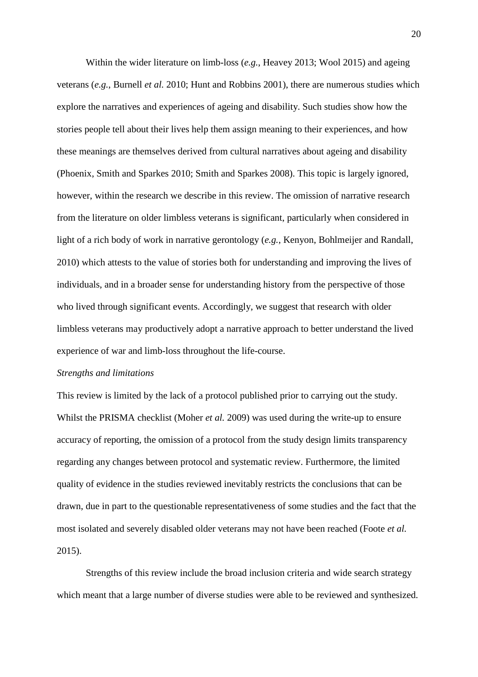Within the wider literature on limb-loss (*e.g.*, Heavey 2013; Wool 2015) and ageing veterans (*e.g.*, Burnell *et al.* 2010; Hunt and Robbins 2001), there are numerous studies which explore the narratives and experiences of ageing and disability. Such studies show how the stories people tell about their lives help them assign meaning to their experiences, and how these meanings are themselves derived from cultural narratives about ageing and disability (Phoenix, Smith and Sparkes 2010; Smith and Sparkes 2008). This topic is largely ignored, however, within the research we describe in this review. The omission of narrative research from the literature on older limbless veterans is significant, particularly when considered in light of a rich body of work in narrative gerontology (*e.g.*, Kenyon, Bohlmeijer and Randall, 2010) which attests to the value of stories both for understanding and improving the lives of individuals, and in a broader sense for understanding history from the perspective of those who lived through significant events. Accordingly, we suggest that research with older limbless veterans may productively adopt a narrative approach to better understand the lived experience of war and limb-loss throughout the life-course.

### *Strengths and limitations*

This review is limited by the lack of a protocol published prior to carrying out the study. Whilst the PRISMA checklist (Moher *et al.* 2009) was used during the write-up to ensure accuracy of reporting, the omission of a protocol from the study design limits transparency regarding any changes between protocol and systematic review. Furthermore, the limited quality of evidence in the studies reviewed inevitably restricts the conclusions that can be drawn, due in part to the questionable representativeness of some studies and the fact that the most isolated and severely disabled older veterans may not have been reached (Foote *et al.* 2015).

Strengths of this review include the broad inclusion criteria and wide search strategy which meant that a large number of diverse studies were able to be reviewed and synthesized.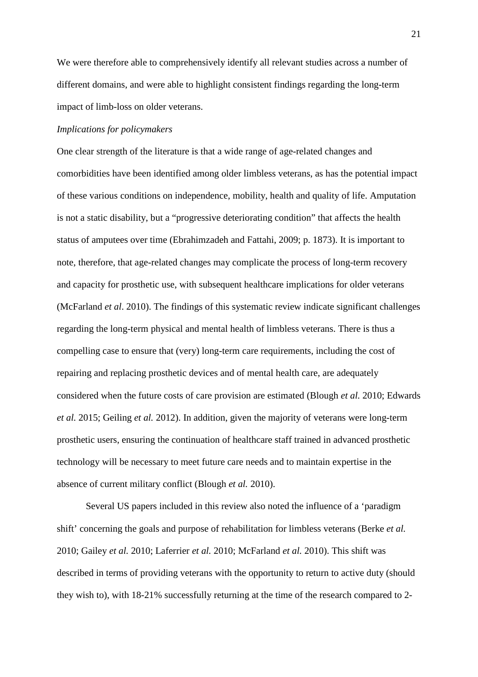We were therefore able to comprehensively identify all relevant studies across a number of different domains, and were able to highlight consistent findings regarding the long-term impact of limb-loss on older veterans.

### *Implications for policymakers*

One clear strength of the literature is that a wide range of age-related changes and comorbidities have been identified among older limbless veterans, as has the potential impact of these various conditions on independence, mobility, health and quality of life. Amputation is not a static disability, but a "progressive deteriorating condition" that affects the health status of amputees over time (Ebrahimzadeh and Fattahi, 2009; p. 1873). It is important to note, therefore, that age-related changes may complicate the process of long-term recovery and capacity for prosthetic use, with subsequent healthcare implications for older veterans (McFarland *et al*. 2010). The findings of this systematic review indicate significant challenges regarding the long-term physical and mental health of limbless veterans. There is thus a compelling case to ensure that (very) long-term care requirements, including the cost of repairing and replacing prosthetic devices and of mental health care, are adequately considered when the future costs of care provision are estimated (Blough *et al.* 2010; Edwards *et al.* 2015; Geiling *et al.* 2012). In addition, given the majority of veterans were long-term prosthetic users, ensuring the continuation of healthcare staff trained in advanced prosthetic technology will be necessary to meet future care needs and to maintain expertise in the absence of current military conflict (Blough *et al.* 2010).

Several US papers included in this review also noted the influence of a 'paradigm shift' concerning the goals and purpose of rehabilitation for limbless veterans (Berke *et al.* 2010; Gailey *et al.* 2010; Laferrier *et al.* 2010; McFarland *et al.* 2010). This shift was described in terms of providing veterans with the opportunity to return to active duty (should they wish to), with 18-21% successfully returning at the time of the research compared to 2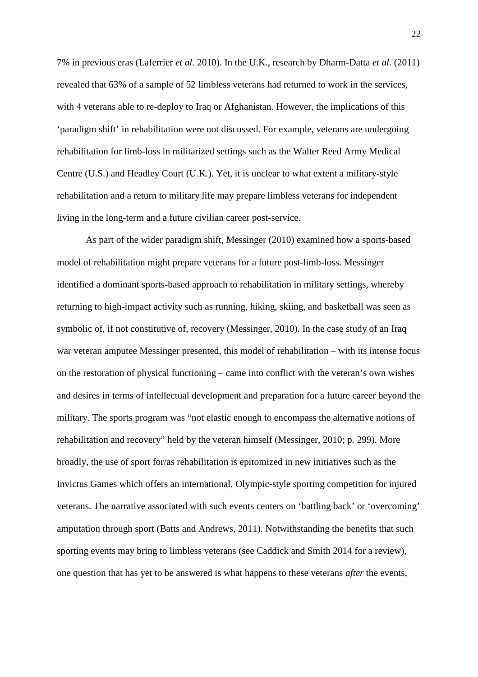7% in previous eras (Laferrier *et al.* 2010). In the U.K., research by Dharm-Datta *et al*. (2011) revealed that 63% of a sample of 52 limbless veterans had returned to work in the services, with 4 veterans able to re-deploy to Iraq or Afghanistan. However, the implications of this 'paradigm shift' in rehabilitation were not discussed. For example, veterans are undergoing rehabilitation for limb-loss in militarized settings such as the Walter Reed Army Medical Centre (U.S.) and Headley Court (U.K.). Yet, it is unclear to what extent a military-style rehabilitation and a return to military life may prepare limbless veterans for independent living in the long-term and a future civilian career post-service.

As part of the wider paradigm shift, Messinger (2010) examined how a sports-based model of rehabilitation might prepare veterans for a future post-limb-loss. Messinger identified a dominant sports-based approach to rehabilitation in military settings, whereby returning to high-impact activity such as running, hiking, skiing, and basketball was seen as symbolic of, if not constitutive of, recovery (Messinger, 2010). In the case study of an Iraq war veteran amputee Messinger presented, this model of rehabilitation – with its intense focus on the restoration of physical functioning – came into conflict with the veteran's own wishes and desires in terms of intellectual development and preparation for a future career beyond the military. The sports program was "not elastic enough to encompass the alternative notions of rehabilitation and recovery" held by the veteran himself (Messinger, 2010; p. 299). More broadly, the use of sport for/as rehabilitation is epitomized in new initiatives such as the Invictus Games which offers an international, Olympic-style sporting competition for injured veterans. The narrative associated with such events centers on 'battling back' or 'overcoming' amputation through sport (Batts and Andrews, 2011). Notwithstanding the benefits that such sporting events may bring to limbless veterans (see Caddick and Smith 2014 for a review), one question that has yet to be answered is what happens to these veterans *after* the events,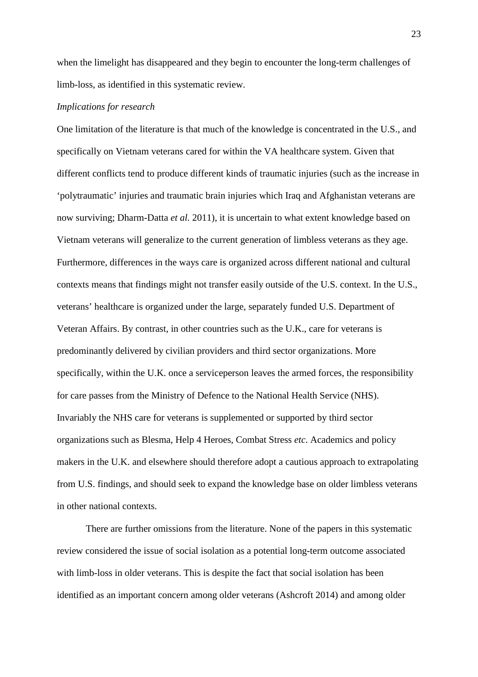when the limelight has disappeared and they begin to encounter the long-term challenges of limb-loss, as identified in this systematic review.

### *Implications for research*

One limitation of the literature is that much of the knowledge is concentrated in the U.S., and specifically on Vietnam veterans cared for within the VA healthcare system. Given that different conflicts tend to produce different kinds of traumatic injuries (such as the increase in 'polytraumatic' injuries and traumatic brain injuries which Iraq and Afghanistan veterans are now surviving; Dharm-Datta *et al.* 2011), it is uncertain to what extent knowledge based on Vietnam veterans will generalize to the current generation of limbless veterans as they age. Furthermore, differences in the ways care is organized across different national and cultural contexts means that findings might not transfer easily outside of the U.S. context. In the U.S., veterans' healthcare is organized under the large, separately funded U.S. Department of Veteran Affairs. By contrast, in other countries such as the U.K., care for veterans is predominantly delivered by civilian providers and third sector organizations. More specifically, within the U.K. once a serviceperson leaves the armed forces, the responsibility for care passes from the Ministry of Defence to the National Health Service (NHS). Invariably the NHS care for veterans is supplemented or supported by third sector organizations such as Blesma, Help 4 Heroes, Combat Stress *etc*. Academics and policy makers in the U.K. and elsewhere should therefore adopt a cautious approach to extrapolating from U.S. findings, and should seek to expand the knowledge base on older limbless veterans in other national contexts.

There are further omissions from the literature. None of the papers in this systematic review considered the issue of social isolation as a potential long-term outcome associated with limb-loss in older veterans. This is despite the fact that social isolation has been identified as an important concern among older veterans (Ashcroft 2014) and among older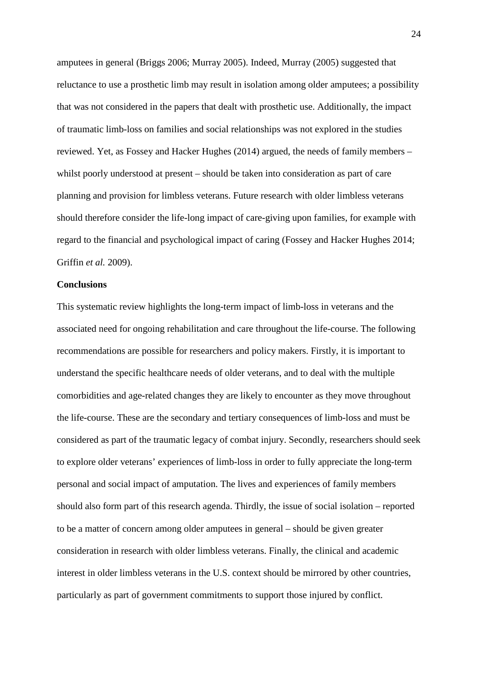amputees in general (Briggs 2006; Murray 2005). Indeed, Murray (2005) suggested that reluctance to use a prosthetic limb may result in isolation among older amputees; a possibility that was not considered in the papers that dealt with prosthetic use. Additionally, the impact of traumatic limb-loss on families and social relationships was not explored in the studies reviewed. Yet, as Fossey and Hacker Hughes (2014) argued, the needs of family members – whilst poorly understood at present – should be taken into consideration as part of care planning and provision for limbless veterans. Future research with older limbless veterans should therefore consider the life-long impact of care-giving upon families, for example with regard to the financial and psychological impact of caring (Fossey and Hacker Hughes 2014; Griffin *et al.* 2009).

#### **Conclusions**

This systematic review highlights the long-term impact of limb-loss in veterans and the associated need for ongoing rehabilitation and care throughout the life-course. The following recommendations are possible for researchers and policy makers. Firstly, it is important to understand the specific healthcare needs of older veterans, and to deal with the multiple comorbidities and age-related changes they are likely to encounter as they move throughout the life-course. These are the secondary and tertiary consequences of limb-loss and must be considered as part of the traumatic legacy of combat injury. Secondly, researchers should seek to explore older veterans' experiences of limb-loss in order to fully appreciate the long-term personal and social impact of amputation. The lives and experiences of family members should also form part of this research agenda. Thirdly, the issue of social isolation – reported to be a matter of concern among older amputees in general – should be given greater consideration in research with older limbless veterans. Finally, the clinical and academic interest in older limbless veterans in the U.S. context should be mirrored by other countries, particularly as part of government commitments to support those injured by conflict.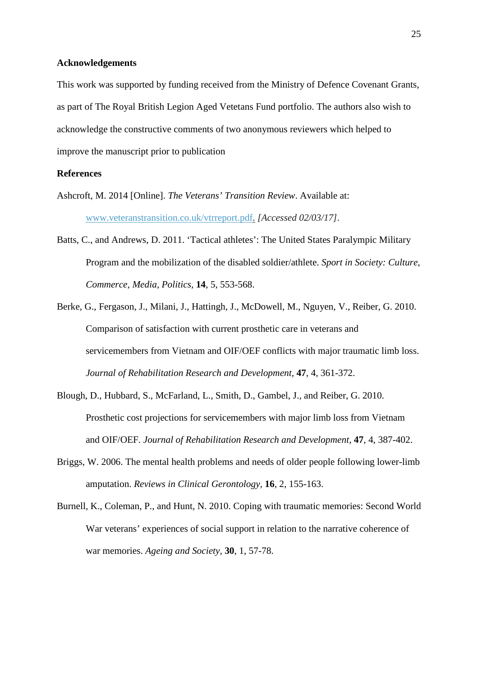#### **Acknowledgements**

This work was supported by funding received from the Ministry of Defence Covenant Grants, as part of The Royal British Legion Aged Vetetans Fund portfolio. The authors also wish to acknowledge the constructive comments of two anonymous reviewers which helped to improve the manuscript prior to publication

# **References**

- Ashcroft, M. 2014 [Online]. *The Veterans' Transition Review*. Available at: [www.veteranstransition.co.uk/vtrreport.pdf.](http://www.veteranstransition.co.uk/vtrreport.pdf) *[Accessed 02/03/17].*
- Batts, C., and Andrews, D. 2011. 'Tactical athletes': The United States Paralympic Military Program and the mobilization of the disabled soldier/athlete. *Sport in Society: Culture, Commerce, Media, Politics,* **14**, 5, 553-568.
- Berke, G., Fergason, J., Milani, J., Hattingh, J., McDowell, M., Nguyen, V., Reiber, G. 2010. Comparison of satisfaction with current prosthetic care in veterans and servicemembers from Vietnam and OIF/OEF conflicts with major traumatic limb loss. *Journal of Rehabilitation Research and Development,* **47**, 4, 361-372.
- Blough, D., Hubbard, S., McFarland, L., Smith, D., Gambel, J., and Reiber, G. 2010. Prosthetic cost projections for servicemembers with major limb loss from Vietnam and OIF/OEF. *Journal of Rehabilitation Research and Development,* **47**, 4, 387-402.
- Briggs, W. 2006. The mental health problems and needs of older people following lower-limb amputation. *Reviews in Clinical Gerontology,* **16**, 2, 155-163.
- Burnell, K., Coleman, P., and Hunt, N. 2010. Coping with traumatic memories: Second World War veterans' experiences of social support in relation to the narrative coherence of war memories. *Ageing and Society,* **30**, 1, 57-78.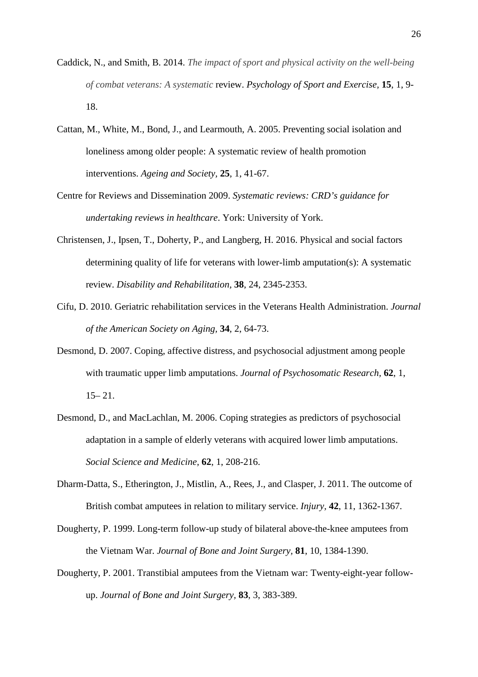- Caddick, N., and Smith, B. 2014. *The impact of sport and physical activity on the well-being of combat veterans: A systematic* review. *Psychology of Sport and Exercise,* **15**, 1, 9- 18.
- Cattan, M., White, M., Bond, J., and Learmouth, A. 2005. Preventing social isolation and loneliness among older people: A systematic review of health promotion interventions. *Ageing and Society,* **25**, 1, 41-67.
- Centre for Reviews and Dissemination 2009. *Systematic reviews: CRD's guidance for undertaking reviews in healthcare*. York: University of York.
- Christensen, J., Ipsen, T., Doherty, P., and Langberg, H. 2016. Physical and social factors determining quality of life for veterans with lower-limb amputation(s): A systematic review. *Disability and Rehabilitation,* **38**, 24, 2345-2353.
- Cifu, D. 2010. Geriatric rehabilitation services in the Veterans Health Administration. *Journal of the American Society on Aging,* **34**, 2, 64-73.
- Desmond, D. 2007. Coping, affective distress, and psychosocial adjustment among people with traumatic upper limb amputations. *Journal of Psychosomatic Research,* **62**, 1,  $15 - 21$ .
- Desmond, D., and MacLachlan, M. 2006. Coping strategies as predictors of psychosocial adaptation in a sample of elderly veterans with acquired lower limb amputations. *Social Science and Medicine,* **62**, 1, 208-216.
- Dharm-Datta, S., Etherington, J., Mistlin, A., Rees, J., and Clasper, J. 2011. The outcome of British combat amputees in relation to military service. *Injury,* **42**, 11, 1362-1367.
- Dougherty, P. 1999. Long-term follow-up study of bilateral above-the-knee amputees from the Vietnam War. *Journal of Bone and Joint Surgery,* **81**, 10, 1384-1390.
- Dougherty, P. 2001. Transtibial amputees from the Vietnam war: Twenty-eight-year followup. *Journal of Bone and Joint Surgery,* **83**, 3, 383-389.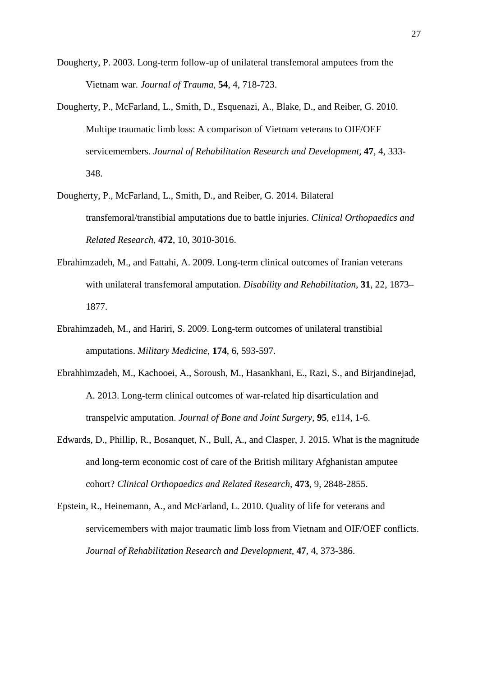Dougherty, P. 2003. Long-term follow-up of unilateral transfemoral amputees from the Vietnam war. *Journal of Trauma,* **54**, 4, 718-723.

- Dougherty, P., McFarland, L., Smith, D., Esquenazi, A., Blake, D., and Reiber, G. 2010. Multipe traumatic limb loss: A comparison of Vietnam veterans to OIF/OEF servicemembers. *Journal of Rehabilitation Research and Development,* **47**, 4, 333- 348.
- Dougherty, P., McFarland, L., Smith, D., and Reiber, G. 2014. Bilateral transfemoral/transtibial amputations due to battle injuries. *Clinical Orthopaedics and Related Research,* **472**, 10, 3010-3016.
- Ebrahimzadeh, M., and Fattahi, A. 2009. Long-term clinical outcomes of Iranian veterans with unilateral transfemoral amputation. *Disability and Rehabilitation,* **31**, 22, 1873– 1877.
- Ebrahimzadeh, M., and Hariri, S. 2009. Long-term outcomes of unilateral transtibial amputations. *Military Medicine,* **174**, 6, 593-597.
- Ebrahhimzadeh, M., Kachooei, A., Soroush, M., Hasankhani, E., Razi, S., and Birjandinejad, A. 2013. Long-term clinical outcomes of war-related hip disarticulation and transpelvic amputation. *Journal of Bone and Joint Surgery,* **95**, e114, 1-6.
- Edwards, D., Phillip, R., Bosanquet, N., Bull, A., and Clasper, J. 2015. What is the magnitude and long-term economic cost of care of the British military Afghanistan amputee cohort? *Clinical Orthopaedics and Related Research,* **473**, 9, 2848-2855.
- Epstein, R., Heinemann, A., and McFarland, L. 2010. Quality of life for veterans and servicemembers with major traumatic limb loss from Vietnam and OIF/OEF conflicts. *Journal of Rehabilitation Research and Development,* **47**, 4, 373-386.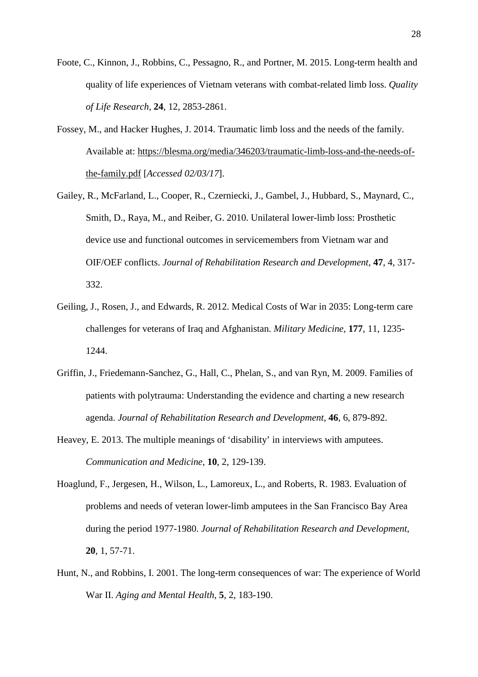- Foote, C., Kinnon, J., Robbins, C., Pessagno, R., and Portner, M. 2015. Long-term health and quality of life experiences of Vietnam veterans with combat-related limb loss. *Quality of Life Research,* **24**, 12, 2853-2861.
- Fossey, M., and Hacker Hughes, J. 2014. Traumatic limb loss and the needs of the family. Available at: [https://blesma.org/media/346203/traumatic-limb-loss-and-the-needs-of](https://blesma.org/media/346203/traumatic-limb-loss-and-the-needs-of-the-family.pdf)[the-family.pdf](https://blesma.org/media/346203/traumatic-limb-loss-and-the-needs-of-the-family.pdf) [*Accessed 02/03/17*].
- Gailey, R., McFarland, L., Cooper, R., Czerniecki, J., Gambel, J., Hubbard, S., Maynard, C., Smith, D., Raya, M., and Reiber, G. 2010. Unilateral lower-limb loss: Prosthetic device use and functional outcomes in servicemembers from Vietnam war and OIF/OEF conflicts. *Journal of Rehabilitation Research and Development,* **47**, 4, 317- 332.
- Geiling, J., Rosen, J., and Edwards, R. 2012. Medical Costs of War in 2035: Long-term care challenges for veterans of Iraq and Afghanistan. *Military Medicine,* **177**, 11, 1235- 1244.
- Griffin, J., Friedemann-Sanchez, G., Hall, C., Phelan, S., and van Ryn, M. 2009. Families of patients with polytrauma: Understanding the evidence and charting a new research agenda. *Journal of Rehabilitation Research and Development,* **46**, 6, 879-892.
- Heavey, E. 2013. The multiple meanings of 'disability' in interviews with amputees. *Communication and Medicine,* **10**, 2, 129-139.
- Hoaglund, F., Jergesen, H., Wilson, L., Lamoreux, L., and Roberts, R. 1983. Evaluation of problems and needs of veteran lower-limb amputees in the San Francisco Bay Area during the period 1977-1980. *Journal of Rehabilitation Research and Development,* **20**, 1, 57-71.
- Hunt, N., and Robbins, I. 2001. The long-term consequences of war: The experience of World War II. *Aging and Mental Health,* **5**, 2, 183-190.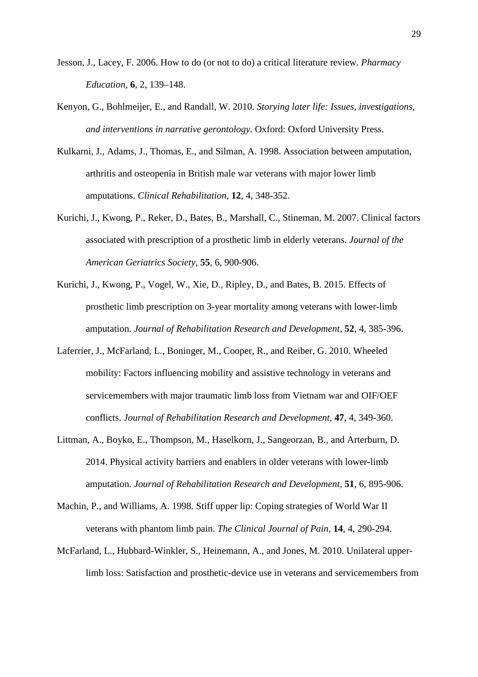- Jesson, J., Lacey, F. 2006. How to do (or not to do) a critical literature review. *Pharmacy Education,* **6**, 2, 139–148.
- Kenyon, G., Bohlmeijer, E., and Randall, W. 2010. *Storying later life: Issues, investigations, and interventions in narrative gerontology*. Oxford: Oxford University Press.
- Kulkarni, J., Adams, J., Thomas, E., and Silman, A. 1998. Association between amputation, arthritis and osteopenia in British male war veterans with major lower limb amputations. *Clinical Rehabilitation,* **12**, 4, 348-352.
- Kurichi, J., Kwong, P., Reker, D., Bates, B., Marshall, C., Stineman, M. 2007. Clinical factors associated with prescription of a prosthetic limb in elderly veterans. *Journal of the American Geriatrics Society,* **55**, 6, 900-906.
- Kurichi, J., Kwong, P., Vogel, W., Xie, D., Ripley, D., and Bates, B. 2015. Effects of prosthetic limb prescription on 3-year mortality among veterans with lower-limb amputation. *Journal of Rehabilitation Research and Development,* **52**, 4, 385-396.
- Laferrier, J., McFarland, L., Boninger, M., Cooper, R., and Reiber, G. 2010. Wheeled mobility: Factors influencing mobility and assistive technology in veterans and servicemembers with major traumatic limb loss from Vietnam war and OIF/OEF conflicts. *Journal of Rehabilitation Research and Development,* **47**, 4, 349-360.
- Littman, A., Boyko, E., Thompson, M., Haselkorn, J., Sangeorzan, B., and Arterburn, D. 2014. Physical activity barriers and enablers in older veterans with lower-limb amputation. *Journal of Rehabilitation Research and Development,* **51**, 6, 895-906.
- Machin, P., and Williams, A. 1998. Stiff upper lip: Coping strategies of World War II veterans with phantom limb pain. *The Clinical Journal of Pain,* **14**, 4, 290-294.
- McFarland, L., Hubbard-Winkler, S., Heinemann, A., and Jones, M. 2010. Unilateral upperlimb loss: Satisfaction and prosthetic-device use in veterans and servicemembers from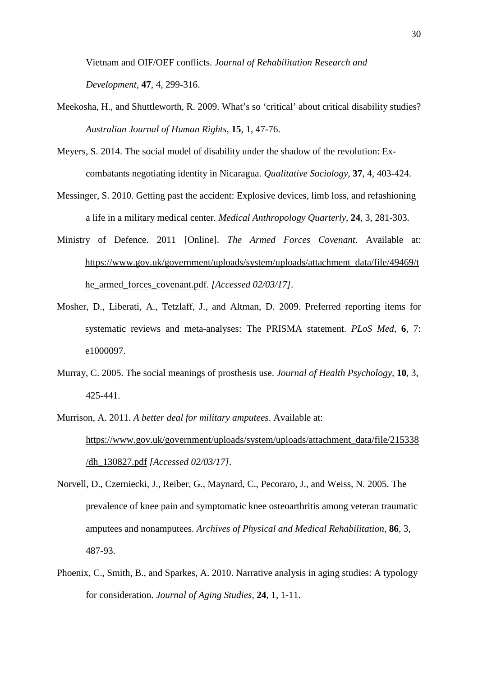Vietnam and OIF/OEF conflicts. *Journal of Rehabilitation Research and Development,* **47**, 4, 299-316.

- Meekosha, H., and Shuttleworth, R. 2009. What's so 'critical' about critical disability studies? *Australian Journal of Human Rights,* **15**, 1, 47-76.
- Meyers, S. 2014. The social model of disability under the shadow of the revolution: Excombatants negotiating identity in Nicaragua. *Qualitative Sociology,* **37**, 4, 403-424.
- Messinger, S. 2010. Getting past the accident: Explosive devices, limb loss, and refashioning a life in a military medical center. *Medical Anthropology Quarterly,* **24**, 3, 281-303.
- Ministry of Defence. 2011 [Online]. *The Armed Forces Covenant.* Available at: [https://www.gov.uk/government/uploads/system/uploads/attachment\\_data/file/49469/t](https://www.gov.uk/government/uploads/system/uploads/attachment_data/file/49469/the_armed_forces_covenant.pdf) [he\\_armed\\_forces\\_covenant.pdf.](https://www.gov.uk/government/uploads/system/uploads/attachment_data/file/49469/the_armed_forces_covenant.pdf) *[Accessed 02/03/17].*
- Mosher, D., Liberati, A., Tetzlaff, J., and Altman, D. 2009. Preferred reporting items for systematic reviews and meta-analyses: The PRISMA statement. *PLoS Med,* **6**, 7: e1000097.
- Murray, C. 2005. The social meanings of prosthesis use. *Journal of Health Psychology,* **10**, 3, 425-441.
- Murrison, A. 2011. *A better deal for military amputees*. Available at: [https://www.gov.uk/government/uploads/system/uploads/attachment\\_data/file/215338](https://www.gov.uk/government/uploads/system/uploads/attachment_data/file/215338/dh_130827.pdf) [/dh\\_130827.pdf](https://www.gov.uk/government/uploads/system/uploads/attachment_data/file/215338/dh_130827.pdf) *[Accessed 02/03/17].*
- Norvell, D., Czerniecki, J., Reiber, G., Maynard, C., Pecoraro, J., and Weiss, N. 2005. The prevalence of knee pain and symptomatic knee osteoarthritis among veteran traumatic amputees and nonamputees. *Archives of Physical and Medical Rehabilitation,* **86**, 3, 487-93.
- Phoenix, C., Smith, B., and Sparkes, A. 2010. Narrative analysis in aging studies: A typology for consideration. *Journal of Aging Studies,* **24**, 1, 1-11.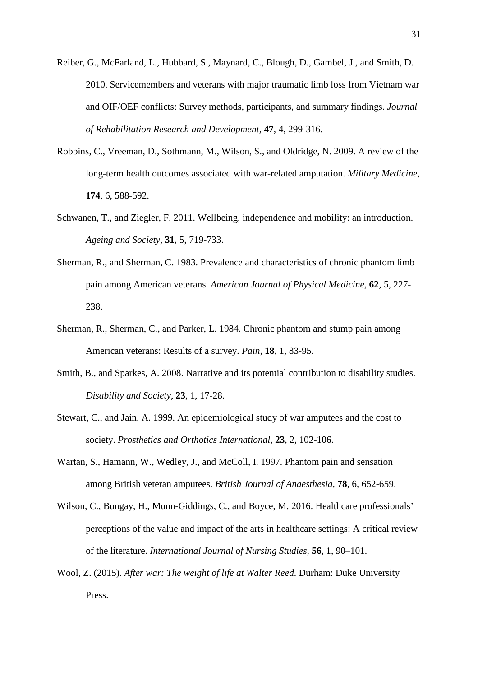Reiber, G., McFarland, L., Hubbard, S., Maynard, C., Blough, D., Gambel, J., and Smith, D. 2010. Servicemembers and veterans with major traumatic limb loss from Vietnam war and OIF/OEF conflicts: Survey methods, participants, and summary findings. *Journal of Rehabilitation Research and Development,* **47**, 4, 299-316.

- Robbins, C., Vreeman, D., Sothmann, M., Wilson, S., and Oldridge, N. 2009. A review of the long-term health outcomes associated with war-related amputation. *Military Medicine,* **174**, 6, 588-592.
- Schwanen, T., and Ziegler, F. 2011. Wellbeing, independence and mobility: an introduction. *Ageing and Society,* **31**, 5, 719-733.
- Sherman, R., and Sherman, C. 1983. Prevalence and characteristics of chronic phantom limb pain among American veterans. *American Journal of Physical Medicine,* **62**, 5, 227- 238.
- Sherman, R., Sherman, C., and Parker, L. 1984. Chronic phantom and stump pain among American veterans: Results of a survey. *Pain,* **18**, 1, 83-95.
- Smith, B., and Sparkes, A. 2008. Narrative and its potential contribution to disability studies. *Disability and Society,* **23**, 1, 17-28.
- Stewart, C., and Jain, A. 1999. An epidemiological study of war amputees and the cost to society. *Prosthetics and Orthotics International,* **23**, 2, 102-106.
- Wartan, S., Hamann, W., Wedley, J., and McColl, I. 1997. Phantom pain and sensation among British veteran amputees. *British Journal of Anaesthesia,* **78**, 6, 652-659.
- Wilson, C., Bungay, H., Munn-Giddings, C., and Boyce, M. 2016. Healthcare professionals' perceptions of the value and impact of the arts in healthcare settings: A critical review of the literature. *International Journal of Nursing Studies,* **56**, 1, 90–101.
- Wool, Z. (2015). *After war: The weight of life at Walter Reed*. Durham: Duke University Press.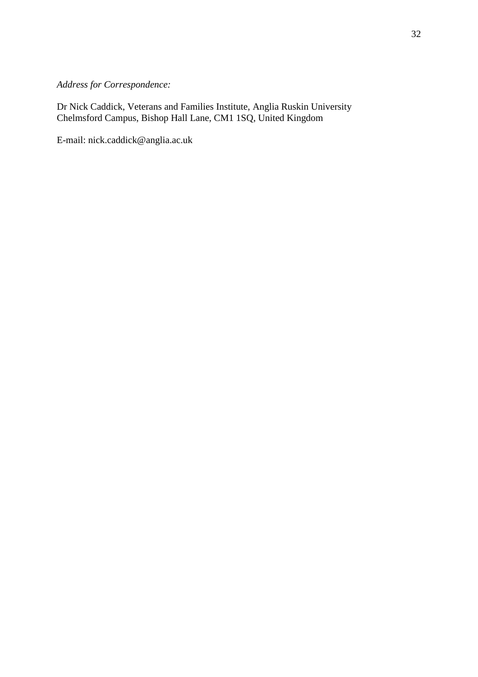# *Address for Correspondence:*

Dr Nick Caddick, Veterans and Families Institute, Anglia Ruskin University Chelmsford Campus, Bishop Hall Lane, CM1 1SQ, United Kingdom

E-mail: nick.caddick@anglia.ac.uk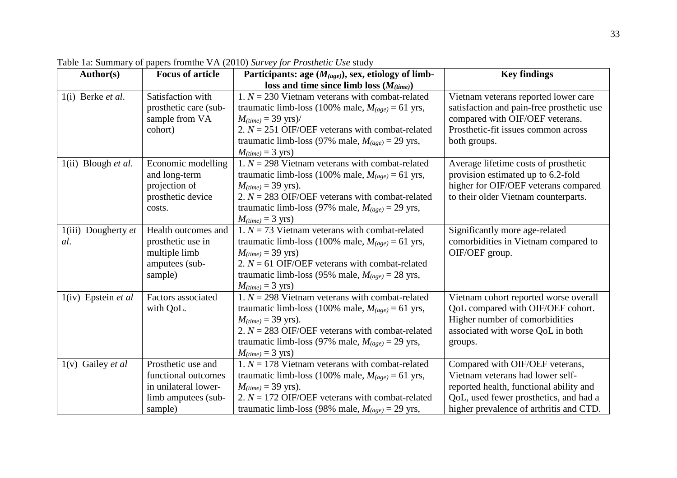| Author(s)                    | <b>Focus of article</b> | Participants: age $(M_{(age)})$ , sex, etiology of limb- | <b>Key findings</b>                       |
|------------------------------|-------------------------|----------------------------------------------------------|-------------------------------------------|
|                              |                         | loss and time since limb loss $(M_{(time)})$             |                                           |
| $1(i)$ Berke <i>et al.</i>   | Satisfaction with       | 1. $N = 230$ Vietnam veterans with combat-related        | Vietnam veterans reported lower care      |
|                              | prosthetic care (sub-   | traumatic limb-loss (100% male, $M_{(age)} = 61$ yrs,    | satisfaction and pain-free prosthetic use |
|                              | sample from VA          | $M_{(time)} = 39$ yrs)/                                  | compared with OIF/OEF veterans.           |
|                              | cohort)                 | 2. $N = 251$ OIF/OEF veterans with combat-related        | Prosthetic-fit issues common across       |
|                              |                         | traumatic limb-loss (97% male, $M_{(age)} = 29$ yrs,     | both groups.                              |
|                              |                         | $M_{(time)} = 3$ yrs)                                    |                                           |
| $1(ii)$ Blough <i>et al.</i> | Economic modelling      | 1. $N = 298$ Vietnam veterans with combat-related        | Average lifetime costs of prosthetic      |
|                              | and long-term           | traumatic limb-loss (100% male, $M_{(age)} = 61$ yrs,    | provision estimated up to 6.2-fold        |
|                              | projection of           | $M_{(time)} = 39$ yrs).                                  | higher for OIF/OEF veterans compared      |
|                              | prosthetic device       | 2. $N = 283$ OIF/OEF veterans with combat-related        | to their older Vietnam counterparts.      |
|                              | costs.                  | traumatic limb-loss (97% male, $M_{(age)} = 29$ yrs,     |                                           |
|                              |                         | $M_{(time)} = 3$ yrs)                                    |                                           |
| $1(iii)$ Dougherty <i>et</i> | Health outcomes and     | 1. $N = 73$ Vietnam veterans with combat-related         | Significantly more age-related            |
| al.                          | prosthetic use in       | traumatic limb-loss (100% male, $M_{(age)} = 61$ yrs,    | comorbidities in Vietnam compared to      |
|                              | multiple limb           | $M_{(time)} = 39$ yrs)                                   | OIF/OEF group.                            |
|                              | amputees (sub-          | 2. $N = 61$ OIF/OEF veterans with combat-related         |                                           |
|                              | sample)                 | traumatic limb-loss (95% male, $M_{(age)} = 28$ yrs,     |                                           |
|                              |                         | $M_{(time)} = 3$ yrs)                                    |                                           |
| $1(iv)$ Epstein et al        | Factors associated      | 1. $N = 298$ Vietnam veterans with combat-related        | Vietnam cohort reported worse overall     |
|                              | with QoL.               | traumatic limb-loss (100% male, $M_{(age)} = 61$ yrs,    | QoL compared with OIF/OEF cohort.         |
|                              |                         | $M_{(time)} = 39$ yrs).                                  | Higher number of comorbidities            |
|                              |                         | 2. $N = 283$ OIF/OEF veterans with combat-related        | associated with worse QoL in both         |
|                              |                         | traumatic limb-loss (97% male, $M_{(age)} = 29$ yrs,     | groups.                                   |
|                              |                         | $M_{(time)} = 3$ yrs)                                    |                                           |
| $1(v)$ Gailey <i>et al</i>   | Prosthetic use and      | 1. $N = 178$ Vietnam veterans with combat-related        | Compared with OIF/OEF veterans,           |
|                              | functional outcomes     | traumatic limb-loss (100% male, $M_{(age)} = 61$ yrs,    | Vietnam veterans had lower self-          |
|                              | in unilateral lower-    | $M_{(time)} = 39$ yrs).                                  | reported health, functional ability and   |
|                              | limb amputees (sub-     | 2. $N = 172$ OIF/OEF veterans with combat-related        | QoL, used fewer prosthetics, and had a    |
|                              | sample)                 | traumatic limb-loss (98% male, $M_{(age)} = 29$ yrs,     | higher prevalence of arthritis and CTD.   |

Table 1a: Summary of papers fromthe VA (2010) *Survey for Prosthetic Use* study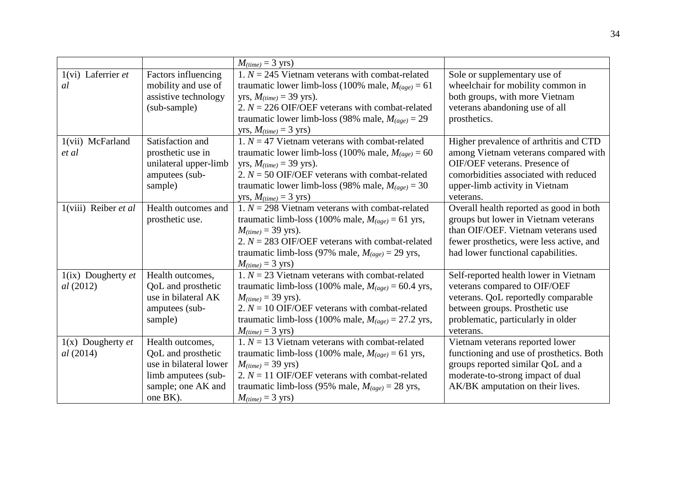|                                         |                                                                                                                           | $M_{(time)} = 3$ yrs)                                                                                                                                                                                                                                                                   |                                                                                                                                                                                                          |
|-----------------------------------------|---------------------------------------------------------------------------------------------------------------------------|-----------------------------------------------------------------------------------------------------------------------------------------------------------------------------------------------------------------------------------------------------------------------------------------|----------------------------------------------------------------------------------------------------------------------------------------------------------------------------------------------------------|
| $1(vi)$ Laferrier et<br>al              | Factors influencing<br>mobility and use of<br>assistive technology<br>(sub-sample)                                        | 1. $N = 245$ Vietnam veterans with combat-related<br>traumatic lower limb-loss (100% male, $M_{(age)} = 61$<br>yrs, $M_{(time)} = 39$ yrs).<br>2. $N = 226$ OIF/OEF veterans with combat-related<br>traumatic lower limb-loss (98% male, $M_{(age)} = 29$<br>yrs, $M_{(time)} = 3$ yrs) | Sole or supplementary use of<br>wheelchair for mobility common in<br>both groups, with more Vietnam<br>veterans abandoning use of all<br>prosthetics.                                                    |
| 1(vii) McFarland<br>et al               | Satisfaction and<br>prosthetic use in<br>unilateral upper-limb<br>amputees (sub-<br>sample)                               | 1. $N = 47$ Vietnam veterans with combat-related<br>traumatic lower limb-loss (100% male, $M_{(age)} = 60$<br>yrs, $M_{(time)} = 39$ yrs).<br>2. $N = 50$ OIF/OEF veterans with combat-related<br>traumatic lower limb-loss (98% male, $M_{(age)} = 30$<br>yrs, $M_{(time)} = 3$ yrs)   | Higher prevalence of arthritis and CTD<br>among Vietnam veterans compared with<br>OIF/OEF veterans. Presence of<br>comorbidities associated with reduced<br>upper-limb activity in Vietnam<br>veterans.  |
| $1(viii)$ Reiber et al                  | Health outcomes and<br>prosthetic use.                                                                                    | 1. $N = 298$ Vietnam veterans with combat-related<br>traumatic limb-loss (100% male, $M_{(age)} = 61$ yrs,<br>$M_{(time)} = 39$ yrs).<br>2. $N = 283$ OIF/OEF veterans with combat-related<br>traumatic limb-loss (97% male, $M_{(age)} = 29$ yrs,<br>$M_{(time)} = 3$ yrs)             | Overall health reported as good in both<br>groups but lower in Vietnam veterans<br>than OIF/OEF. Vietnam veterans used<br>fewer prosthetics, were less active, and<br>had lower functional capabilities. |
| $1(ix)$ Dougherty et<br>al(2012)        | Health outcomes,<br>QoL and prosthetic<br>use in bilateral AK<br>amputees (sub-<br>sample)                                | 1. $N = 23$ Vietnam veterans with combat-related<br>traumatic limb-loss (100% male, $M_{(age)} = 60.4$ yrs,<br>$M_{(time)} = 39$ yrs).<br>2. $N = 10$ OIF/OEF veterans with combat-related<br>traumatic limb-loss (100% male, $M_{(age)} = 27.2$ yrs,<br>$M_{(time)} = 3$ yrs)          | Self-reported health lower in Vietnam<br>veterans compared to OIF/OEF<br>veterans. QoL reportedly comparable<br>between groups. Prosthetic use<br>problematic, particularly in older<br>veterans.        |
| $1(x)$ Dougherty <i>et</i><br>al (2014) | Health outcomes,<br>QoL and prosthetic<br>use in bilateral lower<br>limb amputees (sub-<br>sample; one AK and<br>one BK). | 1. $N = 13$ Vietnam veterans with combat-related<br>traumatic limb-loss (100% male, $M_{(age)} = 61$ yrs,<br>$M_{(time)} = 39$ yrs)<br>2. $N = 11$ OIF/OEF veterans with combat-related<br>traumatic limb-loss (95% male, $M_{(age)} = 28$ yrs,<br>$M_{(time)} = 3$ yrs)                | Vietnam veterans reported lower<br>functioning and use of prosthetics. Both<br>groups reported similar QoL and a<br>moderate-to-strong impact of dual<br>AK/BK amputation on their lives.                |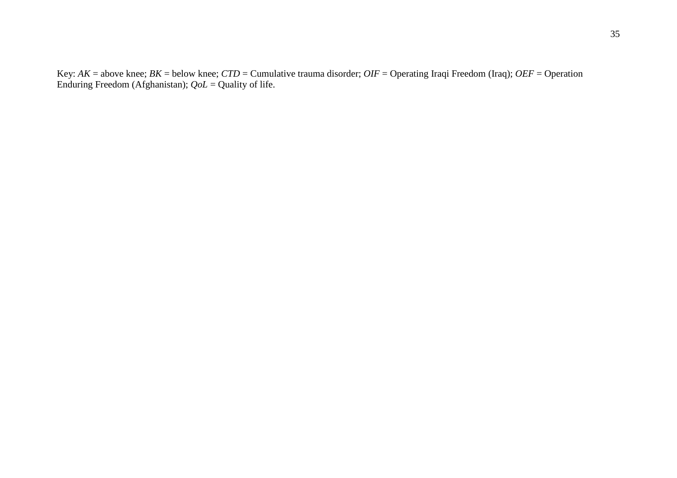Key: *AK* = above knee; *BK* = below knee; *CTD* = Cumulative trauma disorder; *OIF* = Operating Iraqi Freedom (Iraq); *OEF* = Operation Enduring Freedom (Afghanistan); *QoL* = Quality of life.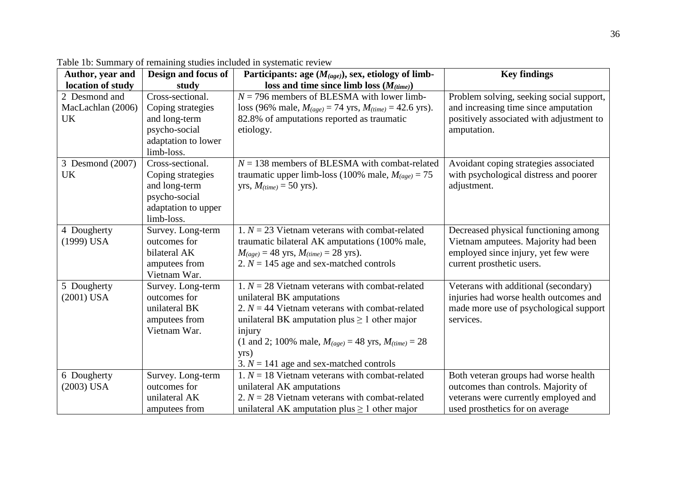| Author, year and  | Design and focus of               | Participants: age $(M_{(age)})$ , sex, etiology of limb-                      | <b>Key findings</b>                                 |
|-------------------|-----------------------------------|-------------------------------------------------------------------------------|-----------------------------------------------------|
| location of study | study                             | loss and time since limb loss $(M_{(time)})$                                  |                                                     |
| 2 Desmond and     | Cross-sectional.                  | $N = 796$ members of BLESMA with lower limb-                                  | Problem solving, seeking social support,            |
| MacLachlan (2006) | Coping strategies                 | loss (96% male, $M_{(age)} = 74$ yrs, $M_{(time)} = 42.6$ yrs).               | and increasing time since amputation                |
| <b>UK</b>         | and long-term                     | 82.8% of amputations reported as traumatic                                    | positively associated with adjustment to            |
|                   | psycho-social                     | etiology.                                                                     | amputation.                                         |
|                   | adaptation to lower               |                                                                               |                                                     |
|                   | limb-loss.                        |                                                                               |                                                     |
| 3 Desmond (2007)  | Cross-sectional.                  | $N = 138$ members of BLESMA with combat-related                               | Avoidant coping strategies associated               |
| <b>UK</b>         | Coping strategies                 | traumatic upper limb-loss (100% male, $M_{(age)} = 75$                        | with psychological distress and poorer              |
|                   | and long-term                     | yrs, $M_{(time)} = 50$ yrs).                                                  | adjustment.                                         |
|                   | psycho-social                     |                                                                               |                                                     |
|                   | adaptation to upper               |                                                                               |                                                     |
|                   | limb-loss.                        |                                                                               |                                                     |
| 4 Dougherty       | Survey. Long-term                 | 1. $N = 23$ Vietnam veterans with combat-related                              | Decreased physical functioning among                |
| $(1999)$ USA      | outcomes for                      | traumatic bilateral AK amputations (100% male,                                | Vietnam amputees. Majority had been                 |
|                   | bilateral AK                      | $M_{(age)} = 48$ yrs, $M_{(time)} = 28$ yrs).                                 | employed since injury, yet few were                 |
|                   | amputees from                     | 2. $N = 145$ age and sex-matched controls                                     | current prosthetic users.                           |
|                   | Vietnam War.                      |                                                                               |                                                     |
| 5 Dougherty       | Survey. Long-term<br>outcomes for | 1. $N = 28$ Vietnam veterans with combat-related                              | Veterans with additional (secondary)                |
| $(2001)$ USA      | unilateral BK                     | unilateral BK amputations<br>2. $N = 44$ Vietnam veterans with combat-related | injuries had worse health outcomes and              |
|                   | amputees from                     | unilateral BK amputation plus $\geq 1$ other major                            | made more use of psychological support<br>services. |
|                   | Vietnam War.                      | injury                                                                        |                                                     |
|                   |                                   | (1 and 2; 100% male, $M_{(age)} = 48$ yrs, $M_{(time)} = 28$                  |                                                     |
|                   |                                   | yrs)                                                                          |                                                     |
|                   |                                   | 3. $N = 141$ age and sex-matched controls                                     |                                                     |
| 6 Dougherty       | Survey. Long-term                 | 1. $N = 18$ Vietnam veterans with combat-related                              | Both veteran groups had worse health                |
| $(2003)$ USA      | outcomes for                      | unilateral AK amputations                                                     | outcomes than controls. Majority of                 |
|                   | unilateral AK                     | 2. $N = 28$ Vietnam veterans with combat-related                              | veterans were currently employed and                |
|                   | amputees from                     | unilateral AK amputation plus $\geq 1$ other major                            | used prosthetics for on average                     |

Table 1b: Summary of remaining studies included in systematic review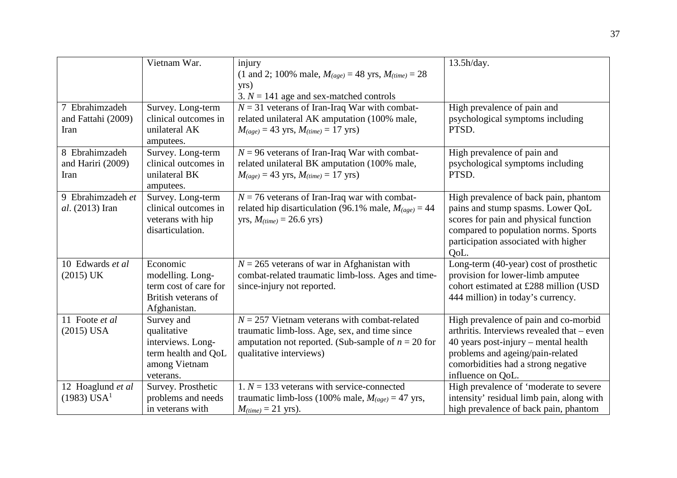|                                                | Vietnam War.                                                                                        | injury<br>(1 and 2; 100% male, $M_{(age)} = 48$ yrs, $M_{(time)} = 28$<br>yrs)<br>3. $N = 141$ age and sex-matched controls                                                        | 13.5h/day.                                                                                                                                                                                                                  |
|------------------------------------------------|-----------------------------------------------------------------------------------------------------|------------------------------------------------------------------------------------------------------------------------------------------------------------------------------------|-----------------------------------------------------------------------------------------------------------------------------------------------------------------------------------------------------------------------------|
| 7 Ebrahimzadeh<br>and Fattahi (2009)<br>Iran   | Survey. Long-term<br>clinical outcomes in<br>unilateral AK<br>amputees.                             | $N = 31$ veterans of Iran-Iraq War with combat-<br>related unilateral AK amputation (100% male,<br>$M_{(age)} = 43$ yrs, $M_{(time)} = 17$ yrs)                                    | High prevalence of pain and<br>psychological symptoms including<br>PTSD.                                                                                                                                                    |
| 8 Ebrahimzadeh<br>and Hariri (2009)<br>Iran    | Survey. Long-term<br>clinical outcomes in<br>unilateral BK<br>amputees.                             | $N = 96$ veterans of Iran-Iraq War with combat-<br>related unilateral BK amputation (100% male,<br>$M_{(age)} = 43$ yrs, $M_{(time)} = 17$ yrs)                                    | High prevalence of pain and<br>psychological symptoms including<br>PTSD.                                                                                                                                                    |
| 9 Ebrahimzadeh et<br>al. (2013) Iran           | Survey. Long-term<br>clinical outcomes in<br>veterans with hip<br>disarticulation.                  | $N = 76$ veterans of Iran-Iraq war with combat-<br>related hip disarticulation (96.1% male, $M_{(age)} = 44$<br>yrs, $M_{(time)} = 26.6$ yrs)                                      | High prevalence of back pain, phantom<br>pains and stump spasms. Lower QoL<br>scores for pain and physical function<br>compared to population norms. Sports<br>participation associated with higher<br>OoL.                 |
| 10 Edwards et al<br>$(2015)$ UK                | Economic<br>modelling. Long-<br>term cost of care for<br>British veterans of<br>Afghanistan.        | $N = 265$ veterans of war in Afghanistan with<br>combat-related traumatic limb-loss. Ages and time-<br>since-injury not reported.                                                  | Long-term (40-year) cost of prosthetic<br>provision for lower-limb amputee<br>cohort estimated at £288 million (USD<br>444 million) in today's currency.                                                                    |
| 11 Foote et al<br>$(2015)$ USA                 | Survey and<br>qualitative<br>interviews. Long-<br>term health and QoL<br>among Vietnam<br>veterans. | $N = 257$ Vietnam veterans with combat-related<br>traumatic limb-loss. Age, sex, and time since<br>amputation not reported. (Sub-sample of $n = 20$ for<br>qualitative interviews) | High prevalence of pain and co-morbid<br>arthritis. Interviews revealed that – even<br>40 years post-injury - mental health<br>problems and ageing/pain-related<br>comorbidities had a strong negative<br>influence on QoL. |
| 12 Hoaglund et al<br>$(1983)$ USA <sup>1</sup> | Survey. Prosthetic<br>problems and needs<br>in veterans with                                        | 1. $N = 133$ veterans with service-connected<br>traumatic limb-loss (100% male, $M_{(age)} = 47$ yrs,<br>$M_{(time)} = 21$ yrs).                                                   | High prevalence of 'moderate to severe<br>intensity' residual limb pain, along with<br>high prevalence of back pain, phantom                                                                                                |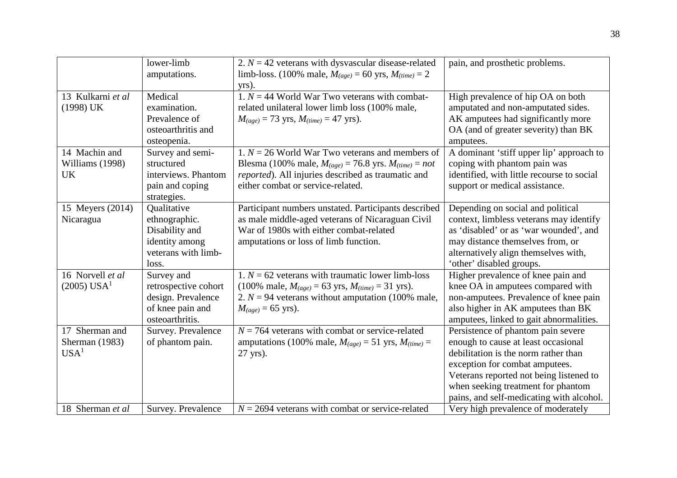|                                                      | lower-limb<br>amputations.                                                                       | 2. $N = 42$ veterans with dysvascular disease-related<br>limb-loss. (100% male, $M_{(age)} = 60$ yrs, $M_{(time)} = 2$<br>yrs).                                                                               | pain, and prosthetic problems.                                                                                                                                                                                                                                                   |
|------------------------------------------------------|--------------------------------------------------------------------------------------------------|---------------------------------------------------------------------------------------------------------------------------------------------------------------------------------------------------------------|----------------------------------------------------------------------------------------------------------------------------------------------------------------------------------------------------------------------------------------------------------------------------------|
| 13 Kulkarni et al<br>(1998) UK                       | Medical<br>examination.<br>Prevalence of<br>osteoarthritis and<br>osteopenia.                    | 1. $N = 44$ World War Two veterans with combat-<br>related unilateral lower limb loss (100% male,<br>$M_{(age)} = 73$ yrs, $M_{(time)} = 47$ yrs).                                                            | High prevalence of hip OA on both<br>amputated and non-amputated sides.<br>AK amputees had significantly more<br>OA (and of greater severity) than BK<br>amputees.                                                                                                               |
| 14 Machin and<br>Williams (1998)<br><b>UK</b>        | Survey and semi-<br>structured<br>interviews. Phantom<br>pain and coping<br>strategies.          | 1. $N = 26$ World War Two veterans and members of<br>Blesma (100% male, $M_{(age)} = 76.8$ yrs. $M_{(time)} = not$<br>reported). All injuries described as traumatic and<br>either combat or service-related. | A dominant 'stiff upper lip' approach to<br>coping with phantom pain was<br>identified, with little recourse to social<br>support or medical assistance.                                                                                                                         |
| 15 Meyers (2014)<br>Nicaragua                        | Qualitative<br>ethnographic.<br>Disability and<br>identity among<br>veterans with limb-<br>loss. | Participant numbers unstated. Participants described<br>as male middle-aged veterans of Nicaraguan Civil<br>War of 1980s with either combat-related<br>amputations or loss of limb function.                  | Depending on social and political<br>context, limbless veterans may identify<br>as 'disabled' or as 'war wounded', and<br>may distance themselves from, or<br>alternatively align themselves with,<br>'other' disabled groups.                                                   |
| 16 Norvell et al<br>$(2005)$ USA <sup>1</sup>        | Survey and<br>retrospective cohort<br>design. Prevalence<br>of knee pain and<br>osteoarthritis.  | 1. $N = 62$ veterans with traumatic lower limb-loss<br>(100% male, $M_{(age)} = 63$ yrs, $M_{(time)} = 31$ yrs).<br>2. $N = 94$ veterans without amputation (100% male,<br>$M_{(age)} = 65$ yrs).             | Higher prevalence of knee pain and<br>knee OA in amputees compared with<br>non-amputees. Prevalence of knee pain<br>also higher in AK amputees than BK<br>amputees, linked to gait abnormalities.                                                                                |
| 17 Sherman and<br>Sherman (1983)<br>USA <sup>1</sup> | Survey. Prevalence<br>of phantom pain.                                                           | $N = 764$ veterans with combat or service-related<br>amputations (100% male, $M_{(age)} = 51$ yrs, $M_{(time)} =$<br>27 yrs).                                                                                 | Persistence of phantom pain severe<br>enough to cause at least occasional<br>debilitation is the norm rather than<br>exception for combat amputees.<br>Veterans reported not being listened to<br>when seeking treatment for phantom<br>pains, and self-medicating with alcohol. |
| 18 Sherman et al                                     | Survey. Prevalence                                                                               | $N = 2694$ veterans with combat or service-related                                                                                                                                                            | Very high prevalence of moderately                                                                                                                                                                                                                                               |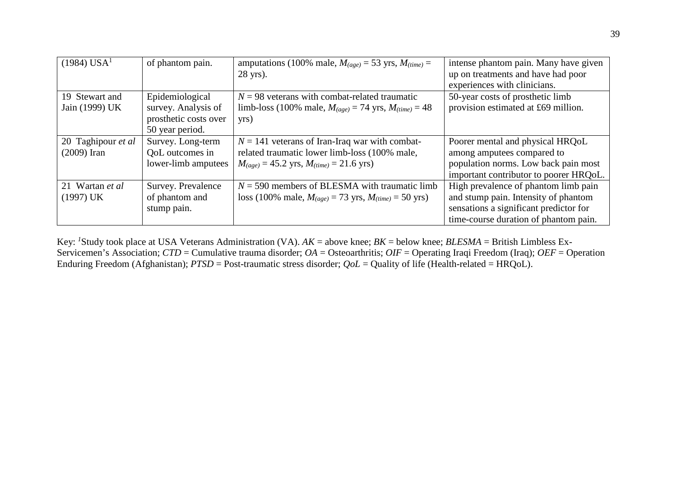| $(1984)$ USA <sup>1</sup> | of phantom pain.      | amputations (100% male, $M_{(age)} = 53$ yrs, $M_{(time)} =$  | intense phantom pain. Many have given  |
|---------------------------|-----------------------|---------------------------------------------------------------|----------------------------------------|
|                           |                       | 28 yrs).                                                      | up on treatments and have had poor     |
|                           |                       |                                                               | experiences with clinicians.           |
| 19 Stewart and            | Epidemiological       | $N = 98$ veterans with combat-related traumatic               | 50-year costs of prosthetic limb       |
| Jain (1999) UK            | survey. Analysis of   | limb-loss (100% male, $M_{(age)} = 74$ yrs, $M_{(time)} = 48$ | provision estimated at £69 million.    |
|                           | prosthetic costs over | yrs)                                                          |                                        |
|                           | 50 year period.       |                                                               |                                        |
| 20 Taghipour et al        | Survey. Long-term     | $N = 141$ veterans of Iran-Iraq war with combat-              | Poorer mental and physical HRQoL       |
| $(2009)$ Iran             | QoL outcomes in       | related traumatic lower limb-loss (100% male,                 | among amputees compared to             |
|                           | lower-limb amputees   | $M_{(age)} = 45.2$ yrs, $M_{(time)} = 21.6$ yrs)              | population norms. Low back pain most   |
|                           |                       |                                                               | important contributor to poorer HRQoL. |
| 21 Wartan et al           | Survey. Prevalence    | $N = 590$ members of BLESMA with traumatic limb               | High prevalence of phantom limb pain   |
| (1997) UK                 | of phantom and        | loss (100% male, $M_{(age)} = 73$ yrs, $M_{(time)} = 50$ yrs) | and stump pain. Intensity of phantom   |
|                           | stump pain.           |                                                               | sensations a significant predictor for |
|                           |                       |                                                               | time-course duration of phantom pain.  |

Key: *<sup>1</sup>* Study took place at USA Veterans Administration (VA). *AK* = above knee; *BK* = below knee; *BLESMA* = British Limbless Ex-Servicemen's Association; *CTD* = Cumulative trauma disorder; *OA* = Osteoarthritis; *OIF* = Operating Iraqi Freedom (Iraq); *OEF* = Operation Enduring Freedom (Afghanistan); *PTSD* = Post-traumatic stress disorder; *QoL* = Quality of life (Health-related = HRQoL).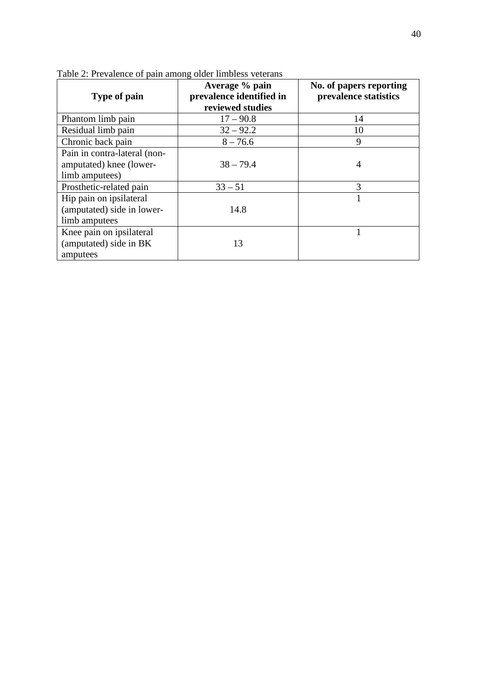| Type of pain                                                              | Average % pain<br>prevalence identified in<br>reviewed studies | No. of papers reporting<br>prevalence statistics |
|---------------------------------------------------------------------------|----------------------------------------------------------------|--------------------------------------------------|
| Phantom limb pain                                                         | $17 - 90.8$                                                    | 14                                               |
| Residual limb pain                                                        | $32 - 92.2$                                                    | 10                                               |
| Chronic back pain                                                         | $8 - 76.6$                                                     | 9                                                |
| Pain in contra-lateral (non-<br>amputated) knee (lower-<br>limb amputees) | $38 - 79.4$                                                    | $\overline{4}$                                   |
| Prosthetic-related pain                                                   | $33 - 51$                                                      | 3                                                |
| Hip pain on ipsilateral<br>(amputated) side in lower-<br>limb amputees    | 14.8                                                           |                                                  |
| Knee pain on ipsilateral<br>(amputated) side in BK<br>amputees            | 13                                                             |                                                  |

Table 2: Prevalence of pain among older limbless veterans